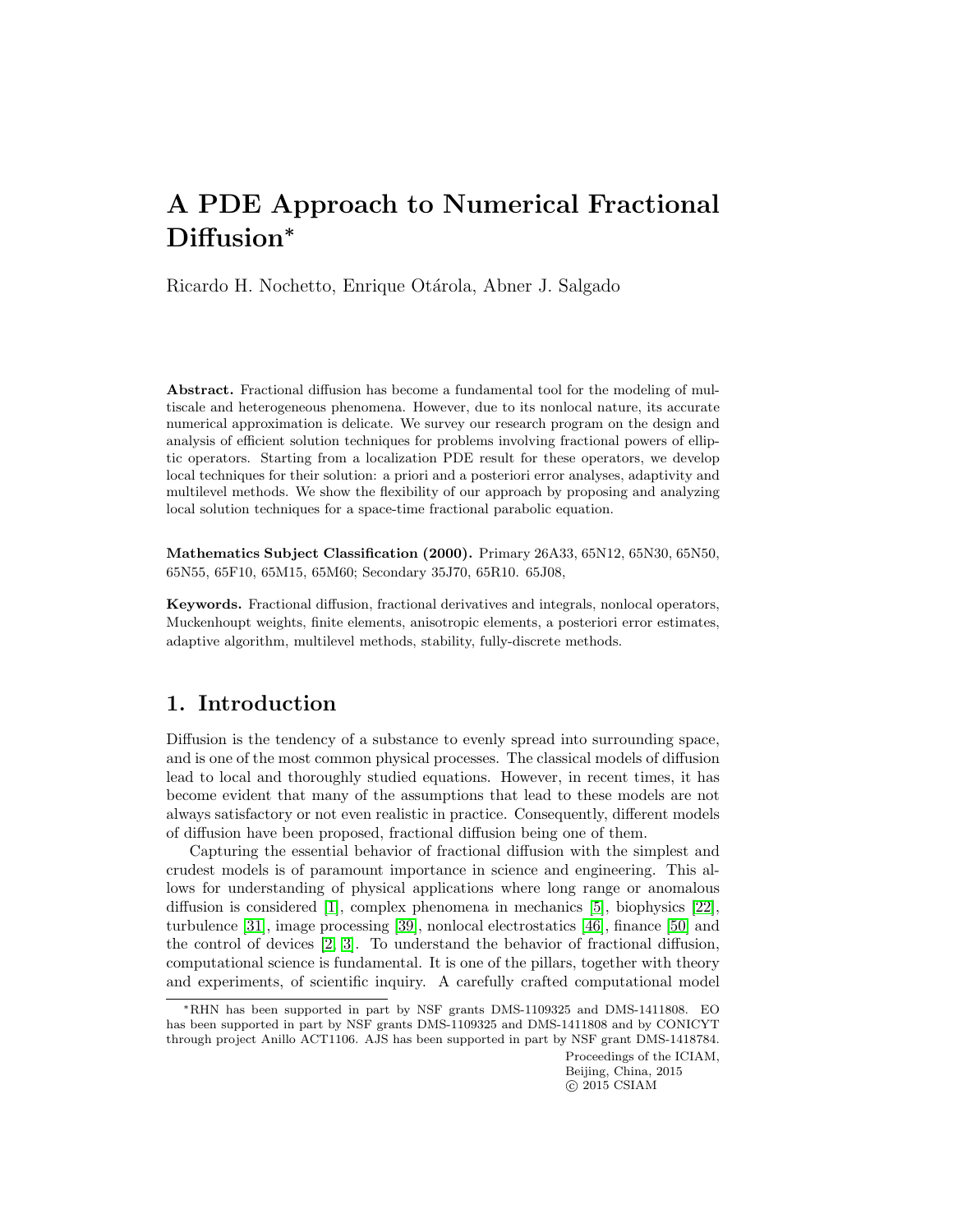# A PDE Approach to Numerical Fractional Diffusion<sup>∗</sup>

Ricardo H. Nochetto, Enrique Otárola, Abner J. Salgado

Abstract. Fractional diffusion has become a fundamental tool for the modeling of multiscale and heterogeneous phenomena. However, due to its nonlocal nature, its accurate numerical approximation is delicate. We survey our research program on the design and analysis of efficient solution techniques for problems involving fractional powers of elliptic operators. Starting from a localization PDE result for these operators, we develop local techniques for their solution: a priori and a posteriori error analyses, adaptivity and multilevel methods. We show the flexibility of our approach by proposing and analyzing local solution techniques for a space-time fractional parabolic equation.

Mathematics Subject Classification (2000). Primary 26A33, 65N12, 65N30, 65N50, 65N55, 65F10, 65M15, 65M60; Secondary 35J70, 65R10. 65J08,

Keywords. Fractional diffusion, fractional derivatives and integrals, nonlocal operators, Muckenhoupt weights, finite elements, anisotropic elements, a posteriori error estimates, adaptive algorithm, multilevel methods, stability, fully-discrete methods.

## 1. Introduction

Diffusion is the tendency of a substance to evenly spread into surrounding space, and is one of the most common physical processes. The classical models of diffusion lead to local and thoroughly studied equations. However, in recent times, it has become evident that many of the assumptions that lead to these models are not always satisfactory or not even realistic in practice. Consequently, different models of diffusion have been proposed, fractional diffusion being one of them.

Capturing the essential behavior of fractional diffusion with the simplest and crudest models is of paramount importance in science and engineering. This allows for understanding of physical applications where long range or anomalous diffusion is considered [\[1\]](#page-20-0), complex phenomena in mechanics [\[5\]](#page-20-1), biophysics [\[22\]](#page-21-0), turbulence [\[31\]](#page-22-0), image processing [\[39\]](#page-22-1), nonlocal electrostatics [\[46\]](#page-22-2), finance [\[50\]](#page-23-0) and the control of devices [\[2,](#page-20-2) [3\]](#page-20-3). To understand the behavior of fractional diffusion, computational science is fundamental. It is one of the pillars, together with theory and experiments, of scientific inquiry. A carefully crafted computational model

Proceedings of the ICIAM, Beijing, China, 2015  $\odot$  2015 CSIAM

<sup>∗</sup>RHN has been supported in part by NSF grants DMS-1109325 and DMS-1411808. EO has been supported in part by NSF grants DMS-1109325 and DMS-1411808 and by CONICYT through project Anillo ACT1106. AJS has been supported in part by NSF grant DMS-1418784.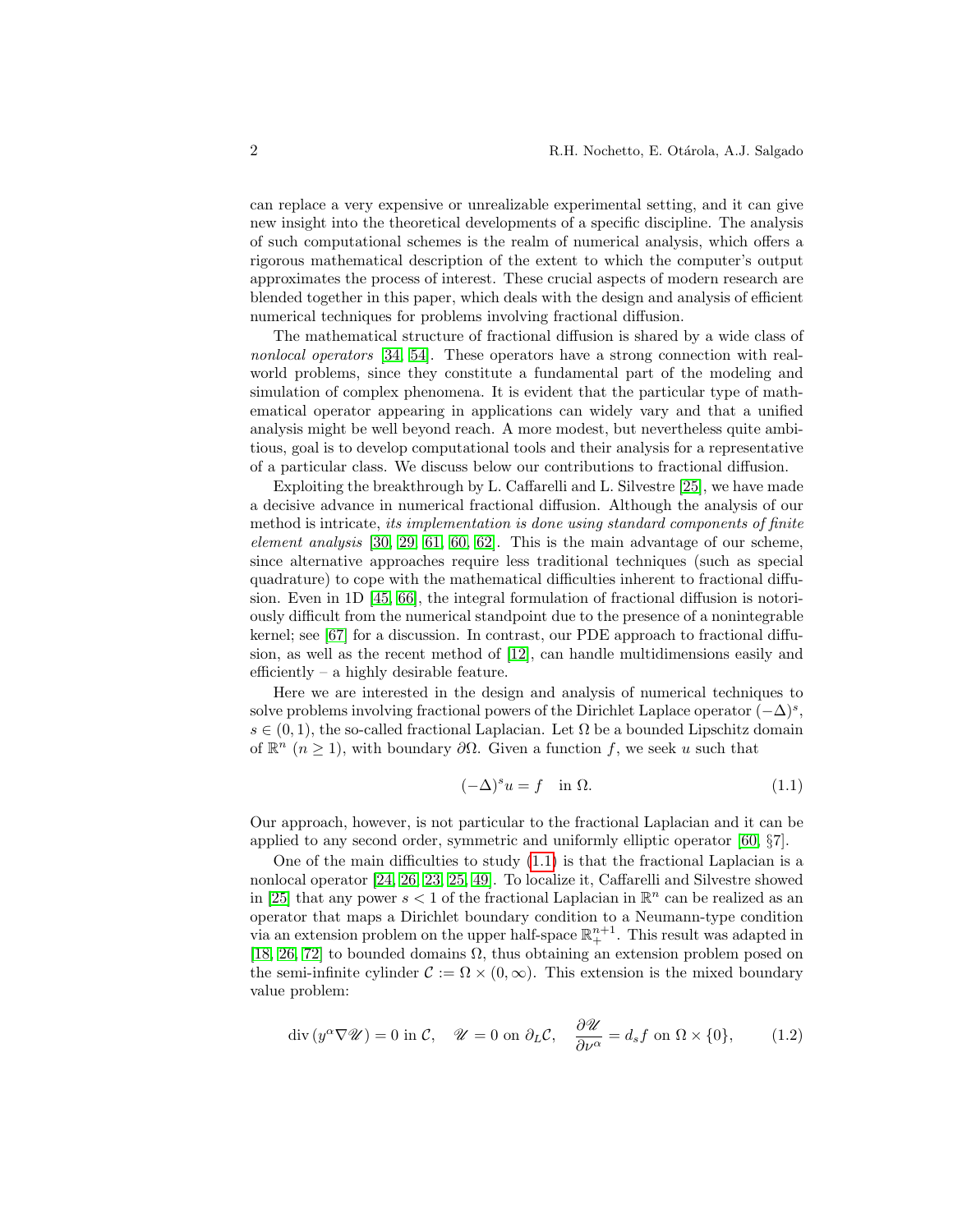can replace a very expensive or unrealizable experimental setting, and it can give new insight into the theoretical developments of a specific discipline. The analysis of such computational schemes is the realm of numerical analysis, which offers a rigorous mathematical description of the extent to which the computer's output approximates the process of interest. These crucial aspects of modern research are blended together in this paper, which deals with the design and analysis of efficient numerical techniques for problems involving fractional diffusion.

The mathematical structure of fractional diffusion is shared by a wide class of nonlocal operators [\[34,](#page-22-3) [54\]](#page-23-1). These operators have a strong connection with realworld problems, since they constitute a fundamental part of the modeling and simulation of complex phenomena. It is evident that the particular type of mathematical operator appearing in applications can widely vary and that a unified analysis might be well beyond reach. A more modest, but nevertheless quite ambitious, goal is to develop computational tools and their analysis for a representative of a particular class. We discuss below our contributions to fractional diffusion.

Exploiting the breakthrough by L. Caffarelli and L. Silvestre [\[25\]](#page-21-1), we have made a decisive advance in numerical fractional diffusion. Although the analysis of our method is intricate, its implementation is done using standard components of finite element analysis  $[30, 29, 61, 60, 62]$  $[30, 29, 61, 60, 62]$  $[30, 29, 61, 60, 62]$  $[30, 29, 61, 60, 62]$  $[30, 29, 61, 60, 62]$ . This is the main advantage of our scheme, since alternative approaches require less traditional techniques (such as special quadrature) to cope with the mathematical difficulties inherent to fractional diffusion. Even in 1D [\[45,](#page-22-6) [66\]](#page-24-0), the integral formulation of fractional diffusion is notoriously difficult from the numerical standpoint due to the presence of a nonintegrable kernel; see [\[67\]](#page-24-1) for a discussion. In contrast, our PDE approach to fractional diffusion, as well as the recent method of [\[12\]](#page-21-2), can handle multidimensions easily and efficiently – a highly desirable feature.

Here we are interested in the design and analysis of numerical techniques to solve problems involving fractional powers of the Dirichlet Laplace operator  $(-\Delta)^s$ ,  $s \in (0,1)$ , the so-called fractional Laplacian. Let  $\Omega$  be a bounded Lipschitz domain of  $\mathbb{R}^n$  ( $n \geq 1$ ), with boundary  $\partial\Omega$ . Given a function f, we seek u such that

<span id="page-1-0"></span>
$$
(-\Delta)^s u = f \quad \text{in } \Omega. \tag{1.1}
$$

Our approach, however, is not particular to the fractional Laplacian and it can be applied to any second order, symmetric and uniformly elliptic operator [\[60,](#page-23-3) §7].

One of the main difficulties to study  $(1.1)$  is that the fractional Laplacian is a nonlocal operator [\[24,](#page-21-3) [26,](#page-21-4) [23,](#page-21-5) [25,](#page-21-1) [49\]](#page-23-5). To localize it, Caffarelli and Silvestre showed in [\[25\]](#page-21-1) that any power  $s < 1$  of the fractional Laplacian in  $\mathbb{R}^n$  can be realized as an operator that maps a Dirichlet boundary condition to a Neumann-type condition via an extension problem on the upper half-space  $\mathbb{R}^{n+1}_+$ . This result was adapted in [\[18,](#page-21-6) [26,](#page-21-4) [72\]](#page-24-2) to bounded domains  $\Omega$ , thus obtaining an extension problem posed on the semi-infinite cylinder  $\mathcal{C} := \Omega \times (0, \infty)$ . This extension is the mixed boundary value problem:

<span id="page-1-1"></span>
$$
\operatorname{div}\left(y^{\alpha}\nabla\mathscr{U}\right) = 0 \text{ in } \mathcal{C}, \quad \mathscr{U} = 0 \text{ on } \partial_L \mathcal{C}, \quad \frac{\partial \mathscr{U}}{\partial \nu^{\alpha}} = d_s f \text{ on } \Omega \times \{0\}, \tag{1.2}
$$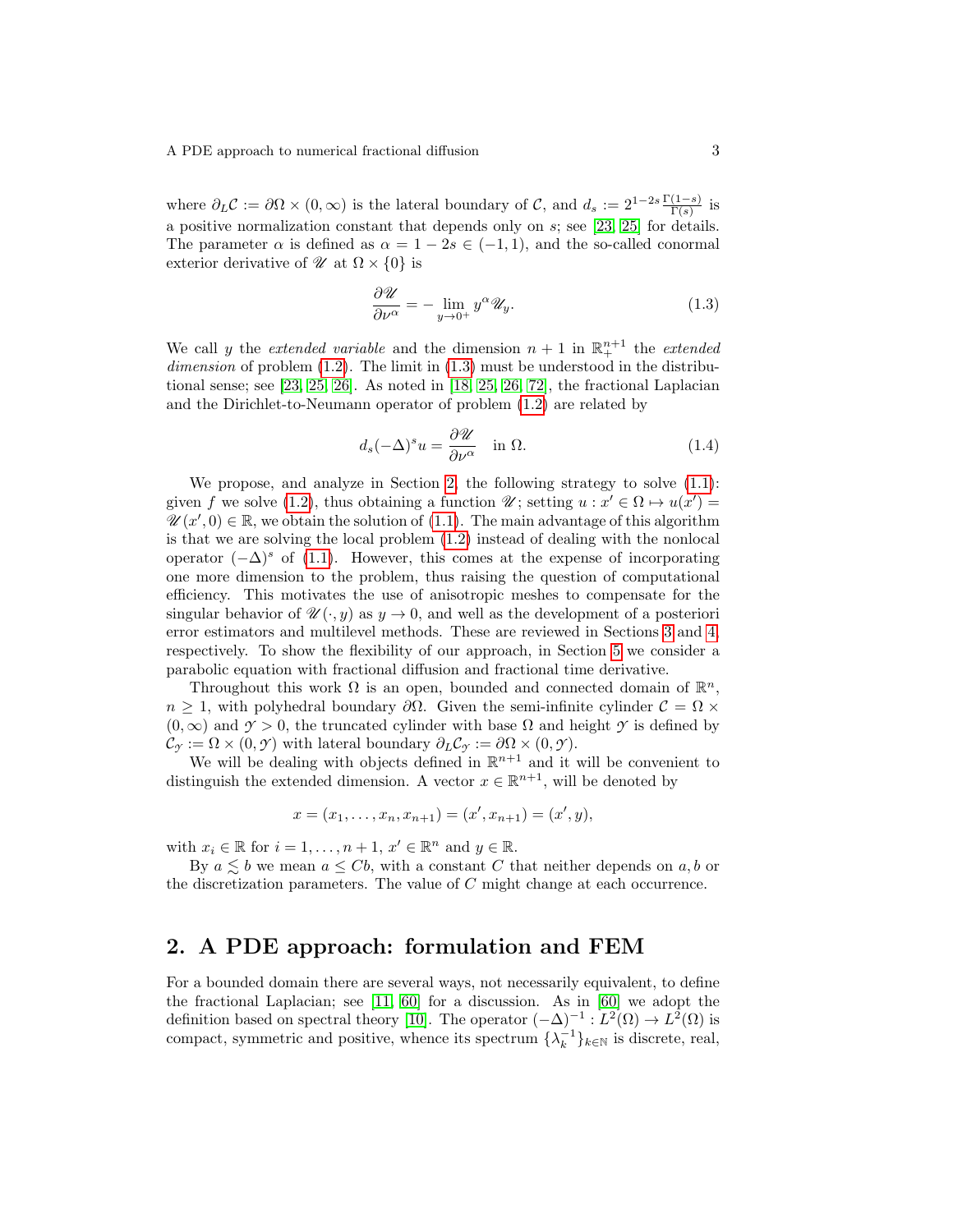where  $\partial_L C := \partial \Omega \times (0, \infty)$  is the lateral boundary of C, and  $d_s := 2^{1-2s} \frac{\Gamma(1-s)}{\Gamma(s)}$  is a positive normalization constant that depends only on s; see [\[23,](#page-21-5) [25\]](#page-21-1) for details. The parameter  $\alpha$  is defined as  $\alpha = 1 - 2s \in (-1, 1)$ , and the so-called conormal exterior derivative of  $\mathcal{U}$  at  $\Omega \times \{0\}$  is

<span id="page-2-0"></span>
$$
\frac{\partial \mathcal{U}}{\partial \nu^{\alpha}} = -\lim_{y \to 0^+} y^{\alpha} \mathcal{U}_y.
$$
 (1.3)

We call y the *extended variable* and the dimension  $n + 1$  in  $\mathbb{R}^{n+1}$  the *extended*  $dimension of problem (1.2)$  $dimension of problem (1.2)$ . The limit in  $(1.3)$  must be understood in the distributional sense; see [\[23,](#page-21-5) [25,](#page-21-1) [26\]](#page-21-4). As noted in [\[18,](#page-21-6) [25,](#page-21-1) [26,](#page-21-4) [72\]](#page-24-2), the fractional Laplacian and the Dirichlet-to-Neumann operator of problem [\(1.2\)](#page-1-1) are related by

<span id="page-2-2"></span>
$$
d_s(-\Delta)^s u = \frac{\partial \mathcal{U}}{\partial \nu^\alpha} \quad \text{in } \Omega. \tag{1.4}
$$

We propose, and analyze in Section [2,](#page-2-1) the following strategy to solve  $(1.1)$ : given f we solve [\(1.2\)](#page-1-1), thus obtaining a function  $\mathscr{U}$ ; setting  $u : x' \in \Omega \mapsto u(x') =$  $\mathscr{U}(x',0) \in \mathbb{R}$ , we obtain the solution of  $(1.1)$ . The main advantage of this algorithm is that we are solving the local problem [\(1.2\)](#page-1-1) instead of dealing with the nonlocal operator  $(-\Delta)^s$  of [\(1.1\)](#page-1-0). However, this comes at the expense of incorporating one more dimension to the problem, thus raising the question of computational efficiency. This motivates the use of anisotropic meshes to compensate for the singular behavior of  $\mathscr{U}(\cdot, y)$  as  $y \to 0$ , and well as the development of a posteriori error estimators and multilevel methods. These are reviewed in Sections [3](#page-8-0) and [4,](#page-11-0) respectively. To show the flexibility of our approach, in Section [5](#page-14-0) we consider a parabolic equation with fractional diffusion and fractional time derivative.

Throughout this work  $\Omega$  is an open, bounded and connected domain of  $\mathbb{R}^n$ ,  $n \geq 1$ , with polyhedral boundary  $\partial \Omega$ . Given the semi-infinite cylinder  $\mathcal{C} = \Omega \times$  $(0, \infty)$  and  $\gamma > 0$ , the truncated cylinder with base  $\Omega$  and height  $\gamma$  is defined by  $\mathcal{C}_{\gamma} := \Omega \times (0, \gamma)$  with lateral boundary  $\partial_L \mathcal{C}_{\gamma} := \partial \Omega \times (0, \gamma)$ .

We will be dealing with objects defined in  $\mathbb{R}^{n+1}$  and it will be convenient to distinguish the extended dimension. A vector  $x \in \mathbb{R}^{n+1}$ , will be denoted by

$$
x = (x_1, \ldots, x_n, x_{n+1}) = (x', x_{n+1}) = (x', y),
$$

with  $x_i \in \mathbb{R}$  for  $i = 1, ..., n + 1$ ,  $x' \in \mathbb{R}^n$  and  $y \in \mathbb{R}$ .

By  $a \leq b$  we mean  $a \leq Cb$ , with a constant C that neither depends on a, b or the discretization parameters. The value of C might change at each occurrence.

### <span id="page-2-1"></span>2. A PDE approach: formulation and FEM

For a bounded domain there are several ways, not necessarily equivalent, to define the fractional Laplacian; see [\[11,](#page-21-7) [60\]](#page-23-3) for a discussion. As in [\[60\]](#page-23-3) we adopt the definition based on spectral theory [\[10\]](#page-21-8). The operator  $(-\Delta)^{-1}: L^2(\Omega) \to L^2(\Omega)$  is compact, symmetric and positive, whence its spectrum  $\{\lambda_k^{-1}\}_{k\in\mathbb{N}}$  is discrete, real,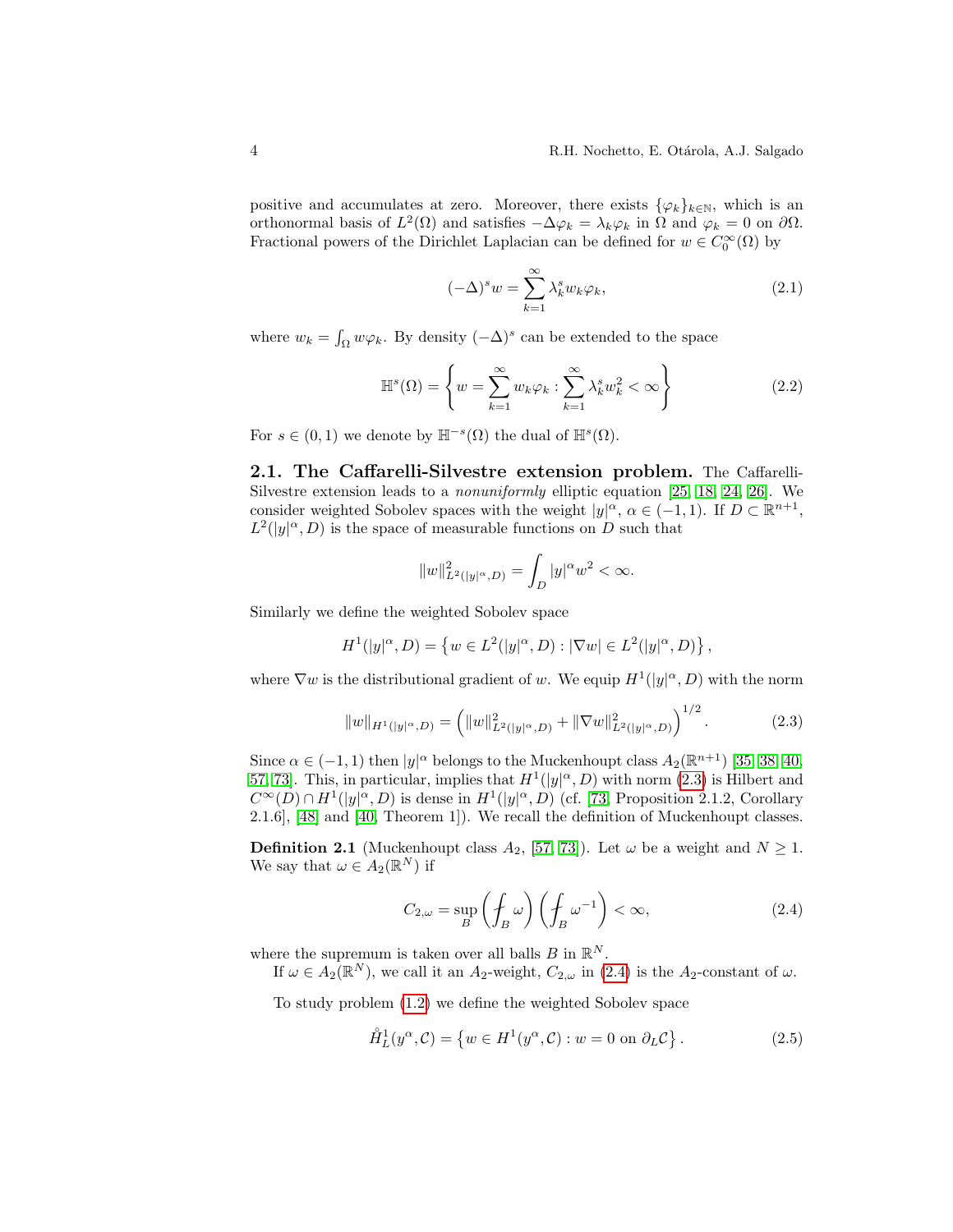positive and accumulates at zero. Moreover, there exists  $\{\varphi_k\}_{k\in\mathbb{N}}$ , which is an orthonormal basis of  $L^2(\Omega)$  and satisfies  $-\Delta \varphi_k = \lambda_k \varphi_k$  in  $\Omega$  and  $\varphi_k = 0$  on  $\partial \Omega$ . Fractional powers of the Dirichlet Laplacian can be defined for  $w \in C_0^{\infty}(\Omega)$  by

<span id="page-3-2"></span>
$$
(-\Delta)^s w = \sum_{k=1}^{\infty} \lambda_k^s w_k \varphi_k, \qquad (2.1)
$$

where  $w_k = \int_{\Omega} w \varphi_k$ . By density  $(-\Delta)^s$  can be extended to the space

<span id="page-3-3"></span>
$$
\mathbb{H}^{s}(\Omega) = \left\{ w = \sum_{k=1}^{\infty} w_k \varphi_k : \sum_{k=1}^{\infty} \lambda_k^s w_k^2 < \infty \right\}
$$
 (2.2)

For  $s \in (0,1)$  we denote by  $\mathbb{H}^{-s}(\Omega)$  the dual of  $\mathbb{H}^{s}(\Omega)$ .

<span id="page-3-4"></span>2.1. The Caffarelli-Silvestre extension problem. The Caffarelli-Silvestre extension leads to a *nonuniformly* elliptic equation  $[25, 18, 24, 26]$  $[25, 18, 24, 26]$  $[25, 18, 24, 26]$  $[25, 18, 24, 26]$ . We consider weighted Sobolev spaces with the weight  $|y|^{\alpha}$ ,  $\alpha \in (-1,1)$ . If  $D \subset \mathbb{R}^{n+1}$ ,  $L^2(|y|^\alpha, D)$  is the space of measurable functions on D such that

$$
\|w\|_{L^2(|y|^\alpha,D)}^2=\int_D |y|^\alpha w^2<\infty.
$$

Similarly we define the weighted Sobolev space

$$
H^1(|y|^\alpha,D)=\left\{w\in L^2(|y|^\alpha,D): |\nabla w|\in L^2(|y|^\alpha,D)\right\},
$$

where  $\nabla w$  is the distributional gradient of w. We equip  $H^1(|y|^\alpha, D)$  with the norm

<span id="page-3-0"></span>
$$
||w||_{H^1(|y|^\alpha,D)} = \left(||w||^2_{L^2(|y|^\alpha,D)} + ||\nabla w||^2_{L^2(|y|^\alpha,D)}\right)^{1/2}.
$$
 (2.3)

Since  $\alpha \in (-1,1)$  then  $|y|^{\alpha}$  belongs to the Muckenhoupt class  $A_2(\mathbb{R}^{n+1})$  [\[35,](#page-22-7) [38,](#page-22-8) [40,](#page-22-9) [57,](#page-23-6) 73. This, in particular, implies that  $H^1(|y|^\alpha, D)$  with norm [\(2.3\)](#page-3-0) is Hilbert and  $C^{\infty}(D) \cap H^{1}(|y|^{\alpha}, D)$  is dense in  $H^{1}(|y|^{\alpha}, D)$  (cf. [\[73,](#page-24-3) Proposition 2.1.2, Corollary 2.1.6], [\[48\]](#page-23-7) and [\[40,](#page-22-9) Theorem 1]). We recall the definition of Muckenhoupt classes.

**Definition 2.1** (Muckenhoupt class  $A_2$ , [\[57,](#page-23-6) [73\]](#page-24-3)). Let  $\omega$  be a weight and  $N \ge 1$ . We say that  $\omega \in A_2(\mathbb{R}^N)$  if

<span id="page-3-1"></span>
$$
C_{2,\omega} = \sup_{B} \left( \oint_{B} \omega \right) \left( \oint_{B} \omega^{-1} \right) < \infty,\tag{2.4}
$$

where the supremum is taken over all balls  $B$  in  $\mathbb{R}^N$ .

If  $\omega \in A_2(\mathbb{R}^N)$ , we call it an  $A_2$ -weight,  $C_{2,\omega}$  in [\(2.4\)](#page-3-1) is the  $A_2$ -constant of  $\omega$ .

To study problem [\(1.2\)](#page-1-1) we define the weighted Sobolev space

$$
\mathring{H}_L^1(y^\alpha, \mathcal{C}) = \{ w \in H^1(y^\alpha, \mathcal{C}) : w = 0 \text{ on } \partial_L \mathcal{C} \}.
$$
 (2.5)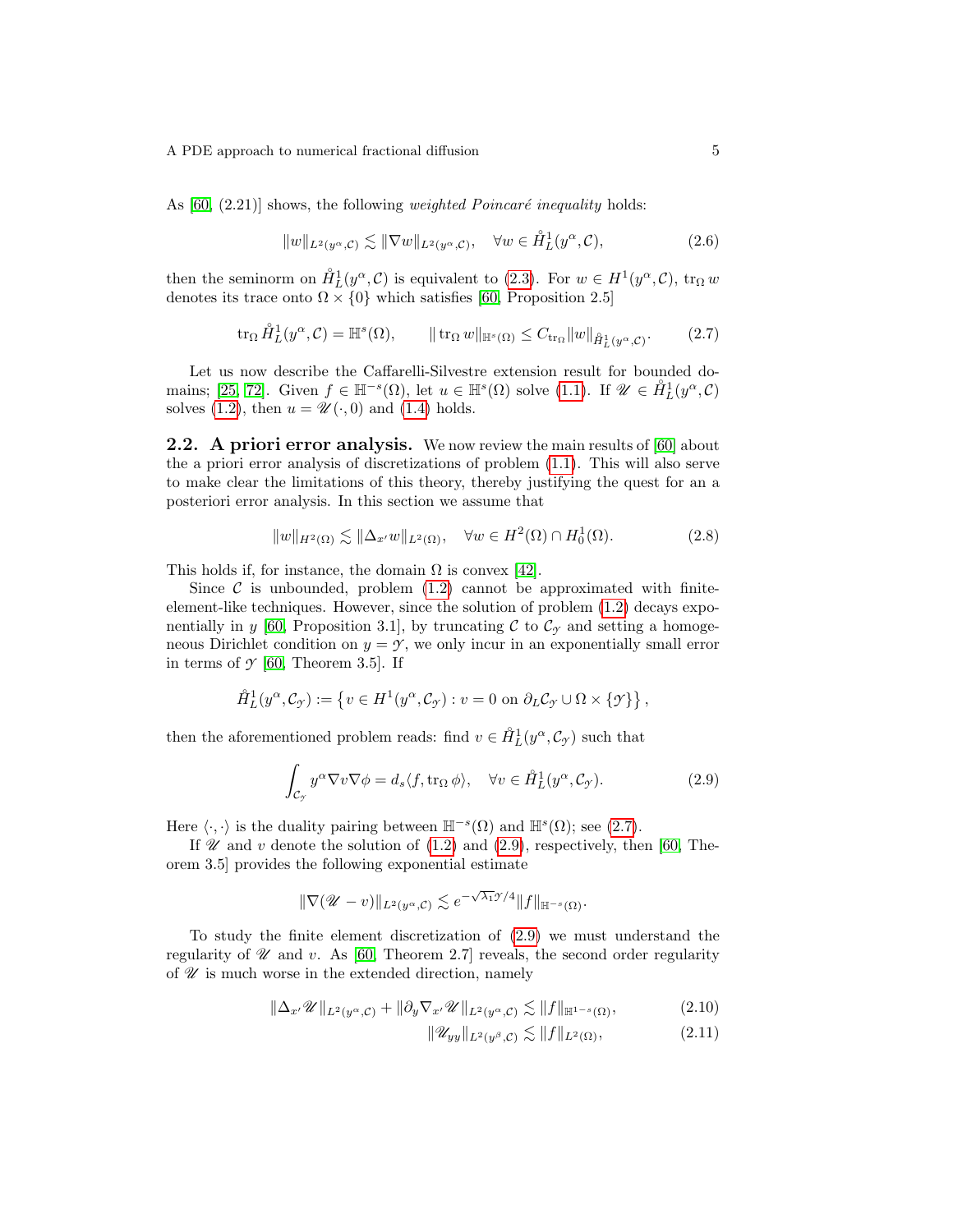As  $[60, (2.21)]$  shows, the following *weighted Poincaré inequality* holds:

$$
||w||_{L^{2}(y^{\alpha}, \mathcal{C})} \lesssim ||\nabla w||_{L^{2}(y^{\alpha}, \mathcal{C})}, \quad \forall w \in \mathring{H}_{L}^{1}(y^{\alpha}, \mathcal{C}), \tag{2.6}
$$

then the seminorm on  $\mathring{H}_L^1(y^\alpha, \mathcal{C})$  is equivalent to [\(2.3\)](#page-3-0). For  $w \in H^1(y^\alpha, \mathcal{C})$ ,  $\text{tr}_\Omega w$ denotes its trace onto  $\Omega \times \{0\}$  which satisfies [\[60,](#page-23-3) Proposition 2.5]

<span id="page-4-0"></span>
$$
\operatorname{tr}_{\Omega} \mathring{H}_L^1(y^{\alpha}, \mathcal{C}) = \mathbb{H}^s(\Omega), \qquad \|\operatorname{tr}_{\Omega} w\|_{\mathbb{H}^s(\Omega)} \le C_{\operatorname{tr}_{\Omega}} \|w\|_{\mathring{H}_L^1(y^{\alpha}, \mathcal{C})}. \tag{2.7}
$$

Let us now describe the Caffarelli-Silvestre extension result for bounded do-mains; [\[25,](#page-21-1) [72\]](#page-24-2). Given  $f \in \mathbb{H}^{-s}(\Omega)$ , let  $u \in \mathbb{H}^{s}(\Omega)$  solve  $(1.1)$ . If  $\mathscr{U} \in \mathring{H}_L^1(y^{\alpha}, \mathcal{C})$ solves [\(1.2\)](#page-1-1), then  $u = \mathscr{U}(\cdot, 0)$  and [\(1.4\)](#page-2-2) holds.

2.2. A priori error analysis. We now review the main results of [\[60\]](#page-23-3) about the a priori error analysis of discretizations of problem [\(1.1\)](#page-1-0). This will also serve to make clear the limitations of this theory, thereby justifying the quest for an a posteriori error analysis. In this section we assume that

<span id="page-4-4"></span>
$$
||w||_{H^2(\Omega)} \lesssim ||\Delta_{x'} w||_{L^2(\Omega)}, \quad \forall w \in H^2(\Omega) \cap H_0^1(\Omega). \tag{2.8}
$$

This holds if, for instance, the domain  $\Omega$  is convex [\[42\]](#page-22-10).

Since  $\mathcal C$  is unbounded, problem [\(1.2\)](#page-1-1) cannot be approximated with finiteelement-like techniques. However, since the solution of problem [\(1.2\)](#page-1-1) decays expo-nentially in y [\[60,](#page-23-3) Proposition 3.1], by truncating C to  $\mathcal{C}_{\gamma}$  and setting a homogeneous Dirichlet condition on  $y = \gamma$ , we only incur in an exponentially small error in terms of  $\mathcal{Y}$  [\[60,](#page-23-3) Theorem 3.5]. If

$$
\mathring{H}_L^1(y^\alpha, \mathcal{C}_{\mathcal{I}}) := \left\{ v \in H^1(y^\alpha, \mathcal{C}_{\mathcal{I}}) : v = 0 \text{ on } \partial_L \mathcal{C}_{\mathcal{I}} \cup \Omega \times \{\mathcal{I}\} \right\},\
$$

then the aforementioned problem reads: find  $v \in \mathring{H}_L^1(y^\alpha, \mathcal{C}_{\mathcal{I}})$  such that

<span id="page-4-1"></span>
$$
\int_{\mathcal{C}_{\mathcal{Y}}} y^{\alpha} \nabla v \nabla \phi = d_s \langle f, \text{tr}_{\Omega} \phi \rangle, \quad \forall v \in \mathring{H}_L^1(y^{\alpha}, \mathcal{C}_{\mathcal{Y}}). \tag{2.9}
$$

Here  $\langle \cdot, \cdot \rangle$  is the duality pairing between  $\mathbb{H}^{-s}(\Omega)$  and  $\mathbb{H}^{s}(\Omega)$ ; see [\(2.7\)](#page-4-0).

If  $\mathscr U$  and  $v$  denote the solution of [\(1.2\)](#page-1-1) and [\(2.9\)](#page-4-1), respectively, then [\[60,](#page-23-3) Theorem 3.5] provides the following exponential estimate

$$
\|\nabla (\mathscr{U}-v)\|_{L^2(y^\alpha,\mathcal{C})} \lesssim e^{-\sqrt{\lambda_1} \mathscr{Y}/4} \|f\|_{\mathbb{H}^{-s}(\Omega)}.
$$

To study the finite element discretization of [\(2.9\)](#page-4-1) we must understand the regularity of  $\mathcal U$  and v. As [\[60,](#page-23-3) Theorem 2.7] reveals, the second order regularity of  $\mathscr U$  is much worse in the extended direction, namely

$$
\|\Delta_{x'}\mathscr{U}\|_{L^2(y^\alpha,\mathcal{C})} + \|\partial_y\nabla_{x'}\mathscr{U}\|_{L^2(y^\alpha,\mathcal{C})} \lesssim \|f\|_{\mathbb{H}^{1-s}(\Omega)},\tag{2.10}
$$

<span id="page-4-3"></span><span id="page-4-2"></span>
$$
\|\mathscr{U}_{yy}\|_{L^2(y^\beta,\mathcal{C})} \lesssim \|f\|_{L^2(\Omega)},\tag{2.11}
$$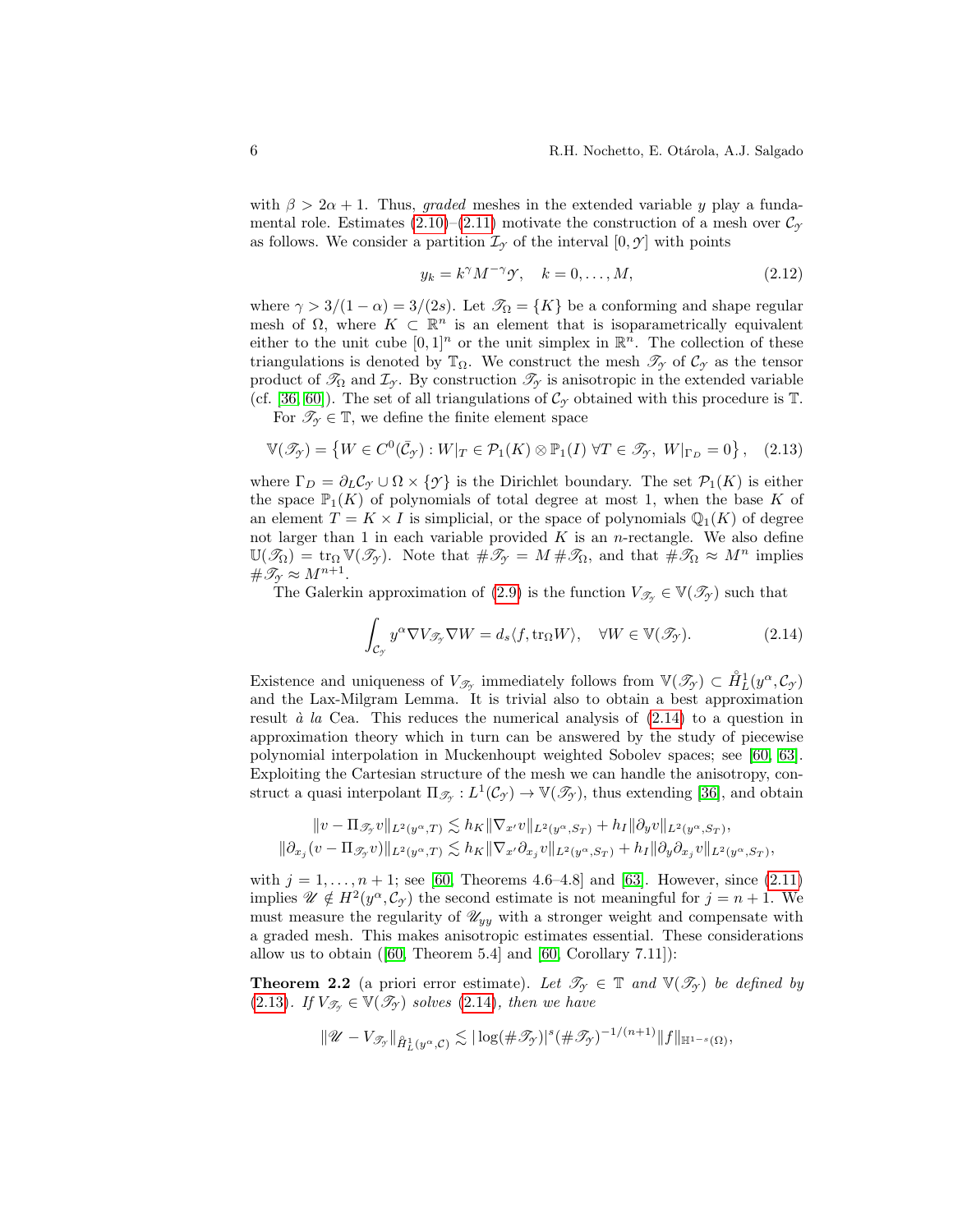with  $\beta > 2\alpha + 1$ . Thus, graded meshes in the extended variable y play a fundamental role. Estimates  $(2.10)$ – $(2.11)$  motivate the construction of a mesh over  $\mathcal{C}_{\gamma}$ as follows. We consider a partition  $\mathcal{I}_{\gamma}$  of the interval  $[0, \gamma]$  with points

<span id="page-5-3"></span>
$$
y_k = k^{\gamma} M^{-\gamma} \mathcal{Y}, \quad k = 0, \dots, M,
$$
\n
$$
(2.12)
$$

where  $\gamma > 3/(1 - \alpha) = 3/(2s)$ . Let  $\mathcal{T}_{\Omega} = \{K\}$  be a conforming and shape regular mesh of  $\Omega$ , where  $K \subset \mathbb{R}^n$  is an element that is isoparametrically equivalent either to the unit cube  $[0,1]^n$  or the unit simplex in  $\mathbb{R}^n$ . The collection of these triangulations is denoted by  $\mathbb{T}_{\Omega}$ . We construct the mesh  $\mathscr{T}_{\gamma}$  of  $\mathcal{C}_{\gamma}$  as the tensor product of  $\mathcal{T}_{\Omega}$  and  $\mathcal{I}_{\gamma}$ . By construction  $\mathcal{T}_{\gamma}$  is anisotropic in the extended variable (cf. [\[36,](#page-22-11) [60\]](#page-23-3)). The set of all triangulations of  $\mathcal{C}_{\gamma}$  obtained with this procedure is  $\mathbb{T}$ .

For  $\mathcal{T}_{\gamma} \in \mathbb{T}$ , we define the finite element space

<span id="page-5-1"></span>
$$
\mathbb{V}(\mathscr{T}_{\mathcal{T}}) = \left\{ W \in C^0(\bar{\mathcal{C}}_{\mathcal{T}}) : W|_{T} \in \mathcal{P}_1(K) \otimes \mathbb{P}_1(I) \; \forall T \in \mathscr{T}_{\mathcal{T}}, \; W|_{\Gamma_D} = 0 \right\}, \quad (2.13)
$$

where  $\Gamma_D = \partial_L C_{\gamma} \cup \Omega \times \{\gamma\}$  is the Dirichlet boundary. The set  $\mathcal{P}_1(K)$  is either the space  $\mathbb{P}_1(K)$  of polynomials of total degree at most 1, when the base K of an element  $T = K \times I$  is simplicial, or the space of polynomials  $\mathbb{Q}_1(K)$  of degree not larger than 1 in each variable provided  $K$  is an *n*-rectangle. We also define  $\mathbb{U}(\mathscr{T}_{\Omega}) = \text{tr}_{\Omega} \mathbb{V}(\mathscr{T}_{\gamma}).$  Note that  $\#\mathscr{T}_{\gamma} = M \#\mathscr{T}_{\Omega}$ , and that  $\#\mathscr{T}_{\Omega} \approx M^{n}$  implies  $\#\mathscr{T}_{\gamma} \approx M^{n+1}.$ 

The Galerkin approximation of [\(2.9\)](#page-4-1) is the function  $V_{\mathscr{T}_{\gamma}} \in V(\mathscr{T}_{\gamma})$  such that

<span id="page-5-0"></span>
$$
\int_{\mathcal{C}_{\mathcal{I}}} y^{\alpha} \nabla V_{\mathcal{I}_{\mathcal{I}}} \nabla W = d_s \langle f, \text{tr}_{\Omega} W \rangle, \quad \forall W \in \mathbb{V}(\mathcal{I}_{\mathcal{I}}).
$$
\n(2.14)

Existence and uniqueness of  $V_{\mathscr{T}_{\mathscr{T}}}$  immediately follows from  $\mathbb{V}(\mathscr{T}_{\mathscr{T}}) \subset \mathring{H}_L^1(y^\alpha, \mathcal{C}_{\mathscr{T}})$ and the Lax-Milgram Lemma. It is trivial also to obtain a best approximation result  $\dot{a}$  la Cea. This reduces the numerical analysis of  $(2.14)$  to a question in approximation theory which in turn can be answered by the study of piecewise polynomial interpolation in Muckenhoupt weighted Sobolev spaces; see [\[60,](#page-23-3) [63\]](#page-23-8). Exploiting the Cartesian structure of the mesh we can handle the anisotropy, construct a quasi interpolant  $\Pi_{\mathscr{T}_{\mathscr{T}}}: L^1(\mathcal{C}_{\mathscr{T}}) \to \mathbb{V}(\mathscr{T}_{\mathscr{T}})$ , thus extending [\[36\]](#page-22-11), and obtain

$$
\begin{aligned}\|v-\Pi_{\mathscr{T}_{\mathscr{T}}}v\|_{L^2(y^\alpha,T)}\lesssim h_K\|\nabla_{x'}v\|_{L^2(y^\alpha,S_T)}+h_I\|\partial_yv\|_{L^2(y^\alpha,S_T)},\\ \|\partial_{x_j}(v-\Pi_{\mathscr{T}_{\mathscr{T}}}v)\|_{L^2(y^\alpha,T)}\lesssim h_K\|\nabla_{x'}\partial_{x_j}v\|_{L^2(y^\alpha,S_T)}+h_I\|\partial_y\partial_{x_j}v\|_{L^2(y^\alpha,S_T)},\end{aligned}
$$

with  $j = 1, ..., n + 1$ ; see [\[60,](#page-23-3) Theorems 4.6–4.8] and [\[63\]](#page-23-8). However, since [\(2.11\)](#page-4-3) implies  $\mathscr{U} \notin H^2(y^\alpha, C_\gamma)$  the second estimate is not meaningful for  $j = n + 1$ . We must measure the regularity of  $\mathcal{U}_{yy}$  with a stronger weight and compensate with a graded mesh. This makes anisotropic estimates essential. These considerations allow us to obtain([\[60,](#page-23-3) Theorem 5.4] and [\[60,](#page-23-3) Corollary 7.11]):

<span id="page-5-2"></span>**Theorem 2.2** (a priori error estimate). Let  $\mathcal{T}_{\gamma} \in \mathbb{T}$  and  $\mathbb{V}(\mathcal{T}_{\gamma})$  be defined by [\(2.13\)](#page-5-1). If  $V_{\mathscr{T}_{\gamma}} \in \mathbb{V}(\mathscr{T}_{\gamma})$  solves [\(2.14\)](#page-5-0), then we have

$$
\|\mathscr{U}-V_{\mathscr{T}_{\mathscr{I}}}\|_{\mathring{H}^1_L(y^{\alpha},\mathcal{C})}\lesssim |\log(\#\mathscr{T}_{\mathscr{I}})|^s(\#\mathscr{T}_{\mathscr{I}})^{-1/(n+1)}\|f\|_{\mathbb{H}^{1-s}(\Omega)},
$$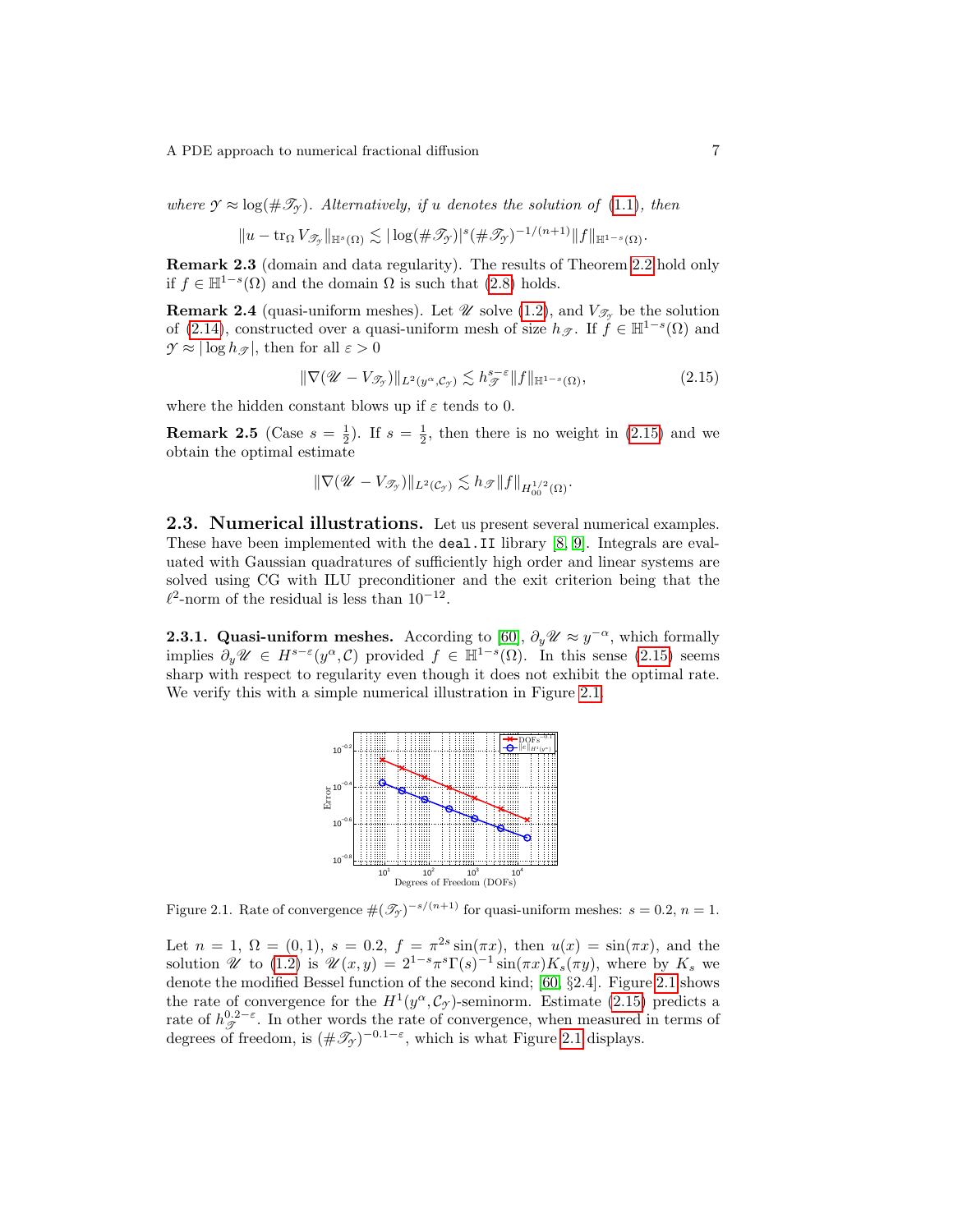where  $\mathcal{Y} \approx \log(\#\mathcal{I}_{\mathcal{Y}})$ . Alternatively, if u denotes the solution of [\(1.1\)](#page-1-0), then

$$
||u - \operatorname{tr}_{\Omega} V_{\mathscr{T}_{\mathscr{I}}}||_{\mathbb{H}^{s}(\Omega)} \lesssim |\log(\#\mathscr{T}_{\mathscr{I}})|^{s} (\#\mathscr{T}_{\mathscr{I}})^{-1/(n+1)} ||f||_{\mathbb{H}^{1-s}(\Omega)}.
$$

Remark 2.3 (domain and data regularity). The results of Theorem [2.2](#page-5-2) hold only if  $f \in \mathbb{H}^{1-s}(\Omega)$  and the domain  $\Omega$  is such that [\(2.8\)](#page-4-4) holds.

**Remark 2.4** (quasi-uniform meshes). Let  $\mathscr U$  solve [\(1.2\)](#page-1-1), and  $V_{\mathscr T}$  be the solution of [\(2.14\)](#page-5-0), constructed over a quasi-uniform mesh of size  $h_{\mathscr{T}}$ . If  $\hat{f} \in \mathbb{H}^{1-s}(\Omega)$  and  $\gamma \approx |\log h_\mathcal{P}|$ , then for all  $\varepsilon > 0$ 

<span id="page-6-0"></span>
$$
\|\nabla(\mathscr{U} - V_{\mathscr{T}_{\mathscr{I}}})\|_{L^2(y^{\alpha}, \mathcal{C}_{\mathscr{I}})} \lesssim h_{\mathscr{T}}^{s-\varepsilon} \|f\|_{\mathbb{H}^{1-s}(\Omega)},\tag{2.15}
$$

where the hidden constant blows up if  $\varepsilon$  tends to 0.

**Remark 2.5** (Case  $s = \frac{1}{2}$ ). If  $s = \frac{1}{2}$ , then there is no weight in [\(2.15\)](#page-6-0) and we obtain the optimal estimate

$$
\|\nabla (\mathscr{U}-V_{\mathscr{T}_{\mathscr{T}}})\|_{L^2(\mathcal{C}_{\mathscr{T}})}\lesssim h_{\mathscr{T}}\|f\|_{H^{1/2}_{00}(\Omega)}.
$$

2.3. Numerical illustrations. Let us present several numerical examples. These have been implemented with the deal.II library [\[8,](#page-20-4) [9\]](#page-21-9). Integrals are evaluated with Gaussian quadratures of sufficiently high order and linear systems are solved using CG with ILU preconditioner and the exit criterion being that the  $\ell^2$ -norm of the residual is less than 10<sup>-12</sup>.

**2.3.1. Quasi-uniform meshes.** According to [\[60\]](#page-23-3),  $\partial_y \mathscr{U} \approx y^{-\alpha}$ , which formally implies  $\partial_y \mathscr{U} \in H^{s-\varepsilon}(y^{\alpha}, \mathcal{C})$  provided  $f \in \mathbb{H}^{1-s}(\Omega)$ . In this sense [\(2.15\)](#page-6-0) seems sharp with respect to regularity even though it does not exhibit the optimal rate. We verify this with a simple numerical illustration in Figure [2.1.](#page-6-1)



<span id="page-6-1"></span>Figure 2.1. Rate of convergence  $\#(\mathcal{T}_\mathcal{Y})^{-s/(n+1)}$  for quasi-uniform meshes:  $s = 0.2$ ,  $n = 1$ .

Let  $n = 1, \Omega = (0, 1), s = 0.2, f = \pi^{2s} \sin(\pi x), \text{ then } u(x) = \sin(\pi x), \text{ and the}$ solution  $\mathscr U$  to [\(1.2\)](#page-1-1) is  $\mathscr U(x,y) = 2^{1-s}\pi^s\Gamma(s)^{-1}\sin(\pi x)K_s(\pi y)$ , where by  $K_s$  we denote the modified Bessel function of the second kind; [\[60,](#page-23-3) §2.4]. Figure [2.1](#page-6-1) shows the rate of convergence for the  $H^1(y^\alpha, \mathcal{C}_{\gamma})$ -seminorm. Estimate [\(2.15\)](#page-6-0) predicts a rate of  $h_{\mathscr{T}}^{0,2-\varepsilon}$ . In other words the rate of convergence, when measured in terms of degrees of freedom, is  $(\#\mathcal{I}_y)^{-0.1-\varepsilon}$ , which is what Figure [2.1](#page-6-1) displays.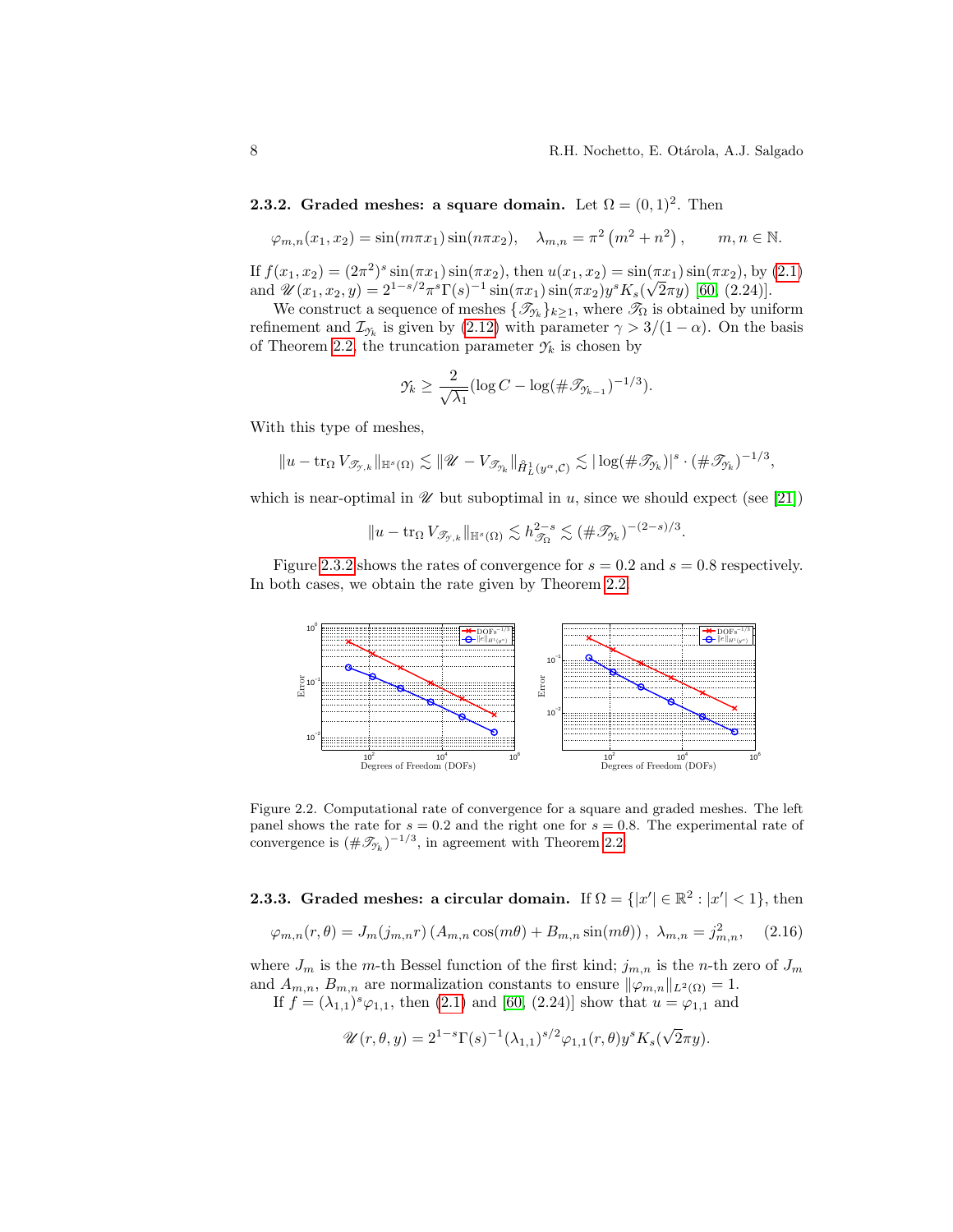<span id="page-7-0"></span>**2.3.2.** Graded meshes: a square domain. Let  $\Omega = (0, 1)^2$ . Then

$$
\varphi_{m,n}(x_1, x_2) = \sin(m\pi x_1)\sin(n\pi x_2), \quad \lambda_{m,n} = \pi^2(m^2 + n^2), \qquad m, n \in \mathbb{N}.
$$

If  $f(x_1, x_2) = (2\pi^2)^s \sin(\pi x_1) \sin(\pi x_2)$ , then  $u(x_1, x_2) = \sin(\pi x_1) \sin(\pi x_2)$ , by [\(2.1\)](#page-3-2) and  $\mathscr{U}(x_1, x_2, y) = 2^{1-s/2} \pi^s \Gamma(s)^{-1} \sin(\pi x_1) \sin(\pi x_2) y^s K_s(\sqrt{2\pi} y)$  [\[60,](#page-23-3) (2.24)].

We construct a sequence of meshes  $\{\mathcal{I}_{\gamma_k}\}_{k\geq 1}$ , where  $\mathcal{I}_{\Omega}$  is obtained by uniform refinement and  $\mathcal{I}_{\gamma_k}$  is given by [\(2.12\)](#page-5-3) with parameter  $\gamma > 3/(1 - \alpha)$ . On the basis of Theorem [2.2,](#page-5-2) the truncation parameter  $\mathcal{Y}_k$  is chosen by

$$
\mathcal{Y}_k \geq \frac{2}{\sqrt{\lambda_1}} (\log C - \log(\#\mathcal{I}_{\mathcal{Y}_{k-1}})^{-1/3}).
$$

With this type of meshes,

$$
||u - \text{tr}_{\Omega} V_{\mathscr{T}_{\mathcal{T},k}}||_{\mathbb{H}^{s}(\Omega)} \lesssim ||\mathscr{U} - V_{\mathscr{T}_{\mathcal{T}_k}}||_{\mathring{H}^1_L(y^{\alpha}, \mathcal{C})} \lesssim |\log(\#\mathscr{T}_{\mathcal{T}_k})|^s \cdot (\#\mathscr{T}_{\mathcal{T}_k})^{-1/3},
$$

which is near-optimal in  $\mathcal U$  but suboptimal in u, since we should expect (see [\[21\]](#page-21-10))

$$
||u - \operatorname{tr}_{\Omega} V_{\mathscr{T}_{\gamma,k}}||_{\mathbb{H}^s(\Omega)} \lesssim h_{\mathscr{T}_{\Omega}}^{2-s} \lesssim (\#\mathscr{T}_{\gamma_k})^{-(2-s)/3}.
$$

Figure [2.3.2](#page-7-0) shows the rates of convergence for  $s = 0.2$  and  $s = 0.8$  respectively. In both cases, we obtain the rate given by Theorem [2.2.](#page-5-2)



Figure 2.2. Computational rate of convergence for a square and graded meshes. The left panel shows the rate for  $s = 0.2$  and the right one for  $s = 0.8$ . The experimental rate of convergence is  $(\#\mathcal{I}_{\gamma_k})^{-1/3}$ , in agreement with Theorem [2.2.](#page-5-2)

**2.3.3.** Graded meshes: a circular domain. If  $\Omega = \{ |x'| \in \mathbb{R}^2 : |x'| < 1 \}$ , then

$$
\varphi_{m,n}(r,\theta) = J_m(j_{m,n}r) \left( A_{m,n} \cos(m\theta) + B_{m,n} \sin(m\theta) \right), \ \lambda_{m,n} = j_{m,n}^2, \tag{2.16}
$$

where  $J_m$  is the m-th Bessel function of the first kind;  $j_{m,n}$  is the n-th zero of  $J_m$ and  $A_{m,n}$ ,  $B_{m,n}$  are normalization constants to ensure  $\|\varphi_{m,n}\|_{L^2(\Omega)} = 1$ .

If  $f = (\lambda_{1,1})^s \varphi_{1,1}$ , then [\(2.1\)](#page-3-2) and [\[60,](#page-23-3) (2.24)] show that  $u = \varphi_{1,1}$  and

$$
\mathscr{U}(r,\theta,y) = 2^{1-s} \Gamma(s)^{-1} (\lambda_{1,1})^{s/2} \varphi_{1,1}(r,\theta) y^s K_s(\sqrt{2}\pi y).
$$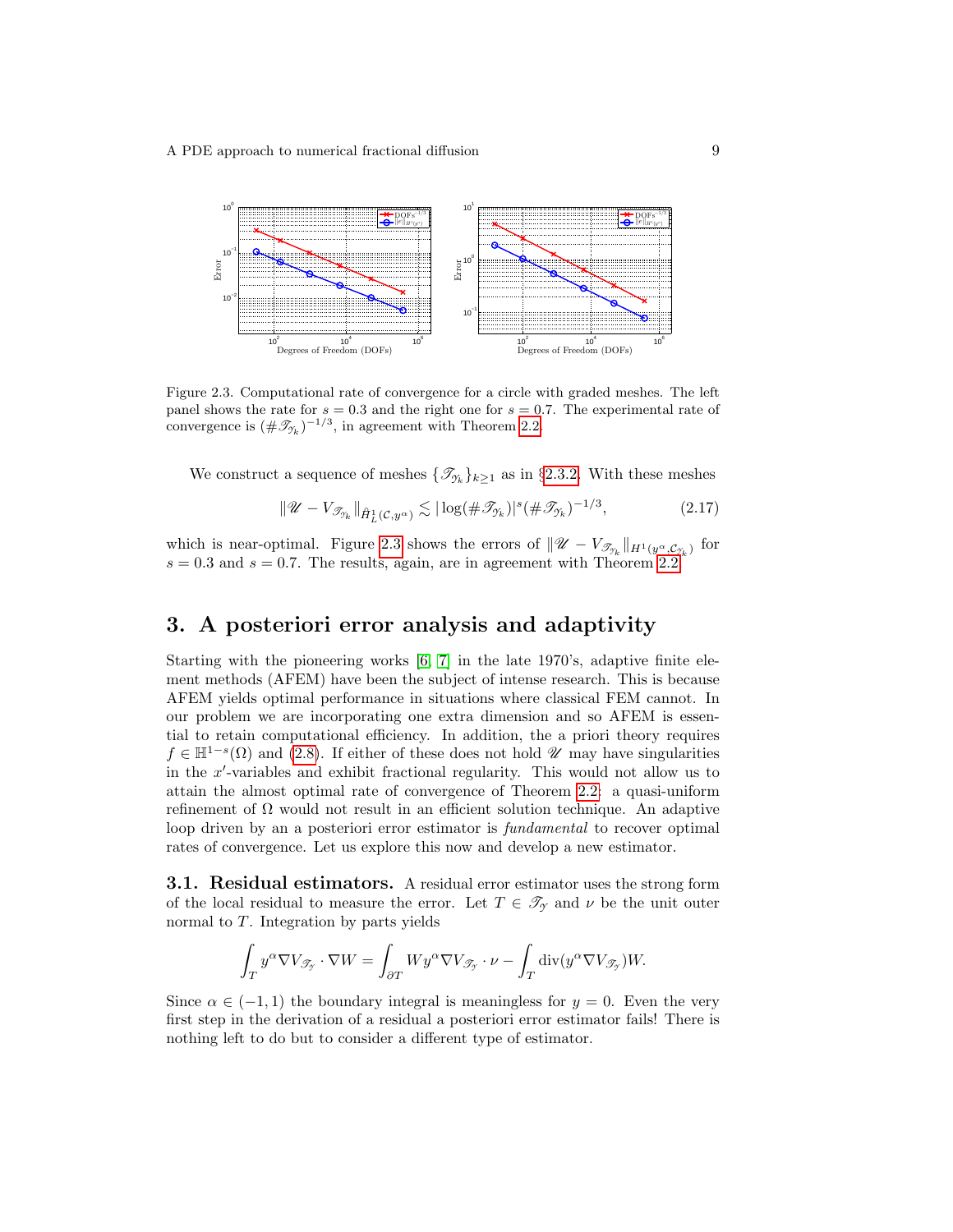

<span id="page-8-1"></span>Figure 2.3. Computational rate of convergence for a circle with graded meshes. The left panel shows the rate for  $s = 0.3$  and the right one for  $s = 0.7$ . The experimental rate of convergence is  $(\#\mathcal{I}_{\gamma_k})^{-1/3}$ , in agreement with Theorem [2.2.](#page-5-2)

We construct a sequence of meshes  $\{\mathcal{I}_{\gamma_k}\}_{k\geq 1}$  as in §[2.3.2.](#page-7-0) With these meshes

$$
\|\mathscr{U} - V_{\mathscr{T}_{\mathscr{V}_k}}\|_{\mathring{H}^1_L(\mathcal{C}, y^{\alpha})} \lesssim |\log(\#\mathscr{T}_{\mathscr{V}_k})|^s (\#\mathscr{T}_{\mathscr{V}_k})^{-1/3},\tag{2.17}
$$

which is near-optimal. Figure [2.3](#page-8-1) shows the errors of  $\|\mathscr{U} - V_{\mathscr{T}_{\mathscr{I}_k}}\|_{H^1(y^\alpha,\mathcal{C}_{\mathscr{I}_k})}$  for  $s = 0.3$  and  $s = 0.7$ . The results, again, are in agreement with Theorem [2.2.](#page-5-2)

### <span id="page-8-0"></span>3. A posteriori error analysis and adaptivity

Starting with the pioneering works [\[6,](#page-20-5) [7\]](#page-20-6) in the late 1970's, adaptive finite element methods (AFEM) have been the subject of intense research. This is because AFEM yields optimal performance in situations where classical FEM cannot. In our problem we are incorporating one extra dimension and so AFEM is essential to retain computational efficiency. In addition, the a priori theory requires  $f \in \mathbb{H}^{1-s}(\Omega)$  and [\(2.8\)](#page-4-4). If either of these does not hold  $\mathscr U$  may have singularities in the  $x'$ -variables and exhibit fractional regularity. This would not allow us to attain the almost optimal rate of convergence of Theorem [2.2:](#page-5-2) a quasi-uniform refinement of  $\Omega$  would not result in an efficient solution technique. An adaptive loop driven by an a posteriori error estimator is *fundamental* to recover optimal rates of convergence. Let us explore this now and develop a new estimator.

3.1. Residual estimators. A residual error estimator uses the strong form of the local residual to measure the error. Let  $T \in \mathcal{T}_{\gamma}$  and  $\nu$  be the unit outer normal to T. Integration by parts yields

$$
\int_T y^{\alpha} \nabla V_{\mathscr{T}_{\mathcal{T}}} \cdot \nabla W = \int_{\partial T} W y^{\alpha} \nabla V_{\mathscr{T}_{\mathcal{T}}} \cdot \nu - \int_T \text{div}(y^{\alpha} \nabla V_{\mathscr{T}_{\mathcal{T}}}) W.
$$

Since  $\alpha \in (-1,1)$  the boundary integral is meaningless for  $y = 0$ . Even the very first step in the derivation of a residual a posteriori error estimator fails! There is nothing left to do but to consider a different type of estimator.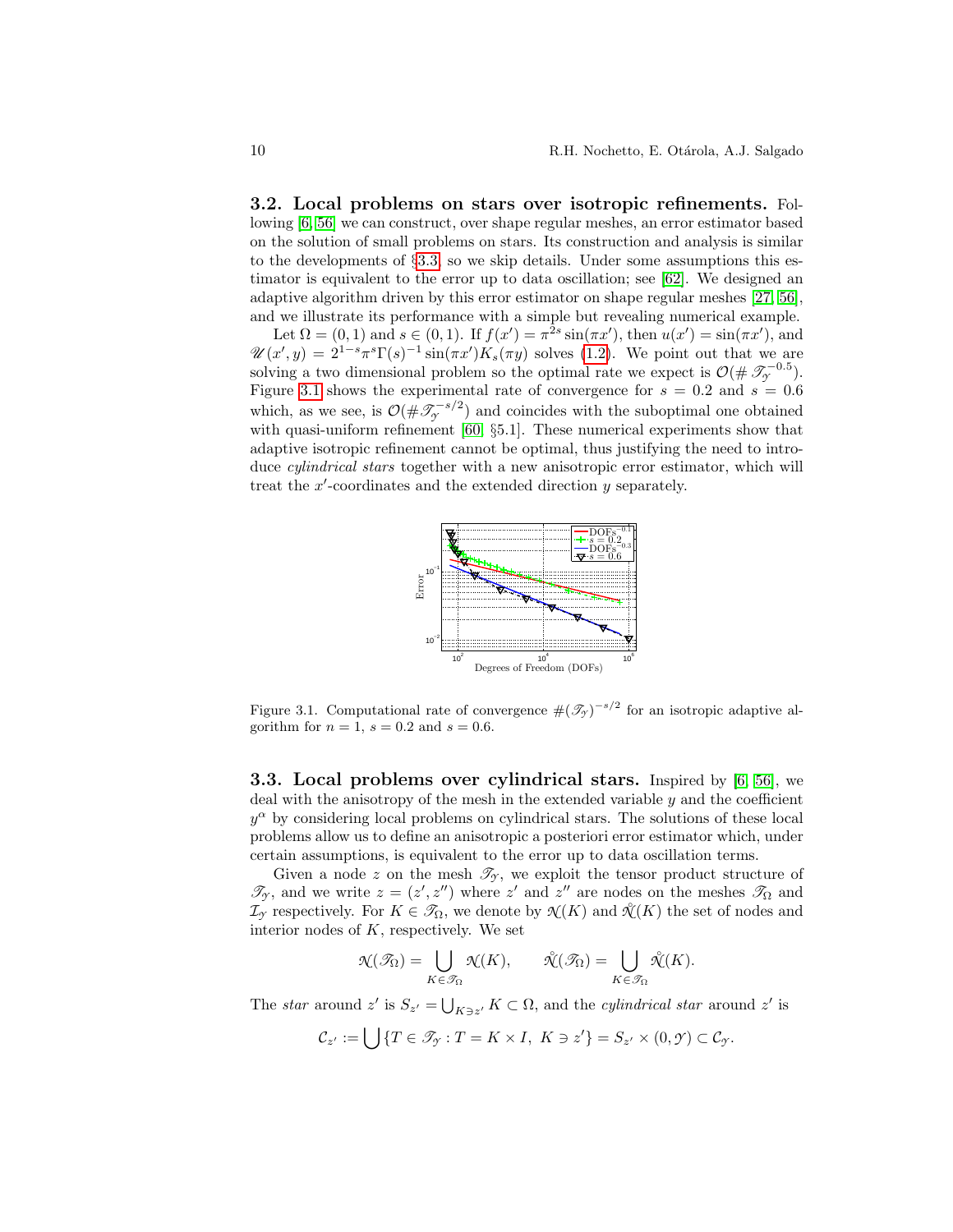3.2. Local problems on stars over isotropic refinements. Following [\[6,](#page-20-5) [56\]](#page-23-9) we can construct, over shape regular meshes, an error estimator based on the solution of small problems on stars. Its construction and analysis is similar to the developments of §[3.3,](#page-9-0) so we skip details. Under some assumptions this estimator is equivalent to the error up to data oscillation; see [\[62\]](#page-23-4). We designed an adaptive algorithm driven by this error estimator on shape regular meshes [\[27,](#page-22-12) [56\]](#page-23-9), and we illustrate its performance with a simple but revealing numerical example.

Let  $\Omega = (0, 1)$  and  $s \in (0, 1)$ . If  $f(x') = \pi^{2s} \sin(\pi x')$ , then  $u(x') = \sin(\pi x')$ , and  $\mathscr{U}(x',y) = 2^{1-s}\pi^s\Gamma(s)^{-1}\sin(\pi x')K_s(\pi y)$  solves [\(1.2\)](#page-1-1). We point out that we are solving a two dimensional problem so the optimal rate we expect is  $\mathcal{O}(\#\mathcal{F}_{\gamma}^{-0.5})$ . Figure [3.1](#page-9-1) shows the experimental rate of convergence for  $s = 0.2$  and  $s = 0.6$ which, as we see, is  $\mathcal{O}(\#\mathcal{I}_{\mathcal{I}}^{-s/2})$  and coincides with the suboptimal one obtained with quasi-uniform refinement [\[60,](#page-23-3) §5.1]. These numerical experiments show that adaptive isotropic refinement cannot be optimal, thus justifying the need to introduce cylindrical stars together with a new anisotropic error estimator, which will treat the  $x'$ -coordinates and the extended direction  $y$  separately.



<span id="page-9-1"></span>Figure 3.1. Computational rate of convergence  $\#(\mathcal{T}_{\gamma})^{-s/2}$  for an isotropic adaptive algorithm for  $n = 1$ ,  $s = 0.2$  and  $s = 0.6$ .

<span id="page-9-0"></span>3.3. Local problems over cylindrical stars. Inspired by [\[6,](#page-20-5) [56\]](#page-23-9), we deal with the anisotropy of the mesh in the extended variable  $y$  and the coefficient  $y^{\alpha}$  by considering local problems on cylindrical stars. The solutions of these local problems allow us to define an anisotropic a posteriori error estimator which, under certain assumptions, is equivalent to the error up to data oscillation terms.

Given a node z on the mesh  $\mathcal{T}_{\gamma}$ , we exploit the tensor product structure of  $\mathscr{T}_{\gamma}$ , and we write  $z = (z', z'')$  where  $z'$  and  $z''$  are nodes on the meshes  $\mathscr{T}_{\Omega}$  and  $\mathcal{I}_{\mathcal{Y}}$  respectively. For  $K \in \mathcal{I}_{\Omega}$ , we denote by  $\mathcal{N}(K)$  and  $\mathcal{N}(K)$  the set of nodes and interior nodes of  $K$ , respectively. We set

$$
\mathcal{N}(\mathcal{I}_{\Omega}) = \bigcup_{K \in \mathcal{I}_{\Omega}} \mathcal{N}(K), \qquad \mathcal{N}(\mathcal{I}_{\Omega}) = \bigcup_{K \in \mathcal{I}_{\Omega}} \mathcal{N}(K).
$$

The star around z' is  $S_{z'} = \bigcup_{K \ni z'} K \subset \Omega$ , and the cylindrical star around z' is

$$
\mathcal{C}_{z'} := \bigcup \{ T \in \mathcal{I}_{\mathcal{Y}} : T = K \times I, \ K \ni z' \} = S_{z'} \times (0, \mathcal{Y}) \subset \mathcal{C}_{\mathcal{Y}}.
$$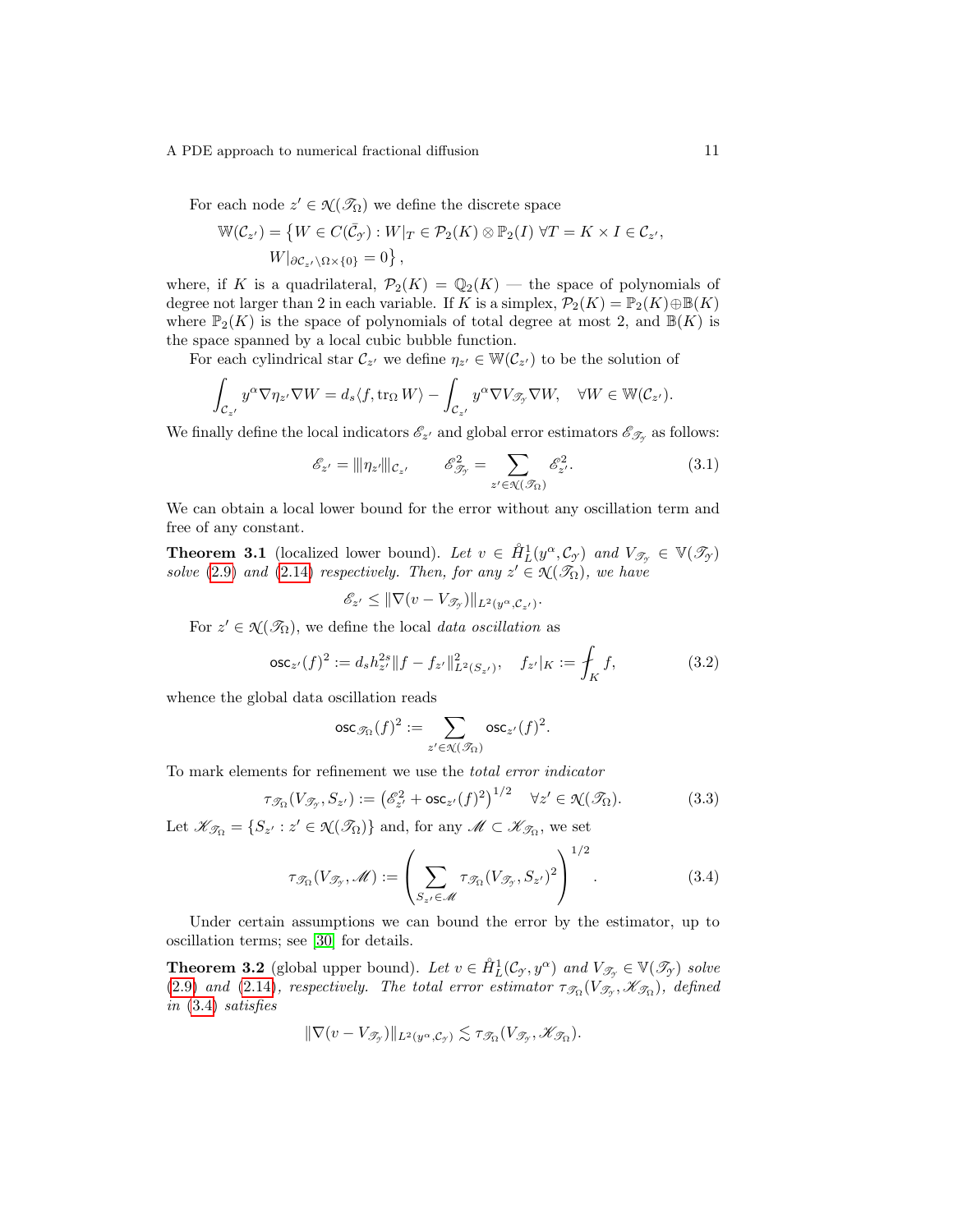For each node  $z' \in \mathcal{N}(\mathcal{I}_{\Omega})$  we define the discrete space

$$
\mathbb{W}(\mathcal{C}_{z'}) = \left\{ W \in C(\bar{\mathcal{C}}_{\mathcal{Y}}) : W|_{T} \in \mathcal{P}_2(K) \otimes \mathbb{P}_2(I) \; \forall T = K \times I \in \mathcal{C}_{z'}, W|_{\partial \mathcal{C}_{z'} \setminus \Omega \times \{0\}} = 0 \right\},
$$

where, if K is a quadrilateral,  $\mathcal{P}_2(K) = \mathbb{Q}_2(K)$  — the space of polynomials of degree not larger than 2 in each variable. If K is a simplex,  $\mathcal{P}_2(K) = \mathbb{P}_2(K) \oplus \mathbb{B}(K)$ where  $\mathbb{P}_2(K)$  is the space of polynomials of total degree at most 2, and  $\mathbb{B}(K)$  is the space spanned by a local cubic bubble function.

For each cylindrical star  $\mathcal{C}_{z'}$  we define  $\eta_{z'} \in \mathbb{W}(\mathcal{C}_{z'})$  to be the solution of

$$
\int_{\mathcal{C}_{z'}} y^{\alpha} \nabla \eta_{z'} \nabla W = d_s \langle f, \text{tr}_{\Omega} W \rangle - \int_{\mathcal{C}_{z'}} y^{\alpha} \nabla V_{\mathcal{T}_{\mathcal{T}}} \nabla W, \quad \forall W \in \mathbb{W}(\mathcal{C}_{z'}).
$$

We finally define the local indicators  $\mathscr{E}_{z'}$  and global error estimators  $\mathscr{E}_{\mathscr{T}_{y}}$  as follows:

<span id="page-10-1"></span>
$$
\mathcal{E}_{z'} = ||\eta_{z'}||_{\mathcal{C}_{z'}} \qquad \mathcal{E}_{\mathcal{F}_{y}}^2 = \sum_{z' \in \mathcal{X}(\mathcal{F}_{\Omega})} \mathcal{E}_{z'}^2.
$$
 (3.1)

We can obtain a local lower bound for the error without any oscillation term and free of any constant.

**Theorem 3.1** (localized lower bound). Let  $v \in \hat{H}_L^1(y^\alpha, \mathcal{C}_{\mathcal{I}})$  and  $V_{\mathcal{T}_{\mathcal{I}}} \in \mathbb{V}(\mathcal{T}_{\mathcal{I}})$ solve [\(2.9\)](#page-4-1) and [\(2.14\)](#page-5-0) respectively. Then, for any  $z' \in \mathcal{N}(\mathcal{I}_{\Omega})$ , we have

$$
\mathscr{E}_{z'} \leq \|\nabla(v - V_{\mathscr{T}_{\mathcal{Y}}})\|_{L^2(y^{\alpha}, \mathcal{C}_{z'})}.
$$

For  $z' \in \mathcal{N}(\mathcal{I}_{\Omega})$ , we define the local *data oscillation* as

<span id="page-10-2"></span>
$$
\operatorname{osc}_{z'}(f)^2 := d_s h_{z'}^{2s} \|f - f_{z'}\|_{L^2(S_{z'})}^2, \quad f_{z'}|_K := \int_K f,\tag{3.2}
$$

.

whence the global data oscillation reads

$$
\operatorname{osc}_{\mathscr{T}_\Omega}(f)^2:=\sum_{z'\in\mathscr{N}(\mathscr{T}_\Omega)}\operatorname{osc}_{z'}(f)^2
$$

To mark elements for refinement we use the total error indicator

<span id="page-10-3"></span>
$$
\tau_{\mathcal{I}_{\Omega}}(V_{\mathcal{I}_{\mathcal{I}}}, S_{z'}) := \left(\mathcal{E}_{z'}^2 + \mathsf{osc}_{z'}(f)^2\right)^{1/2} \quad \forall z' \in \mathcal{N}(\mathcal{I}_{\Omega}).\tag{3.3}
$$

Let  $\mathcal{K}_{\mathcal{T}_{\Omega}} = \{S_{z'} : z' \in \mathcal{N}(\mathcal{T}_{\Omega})\}\$ and, for any  $\mathcal{M} \subset \mathcal{K}_{\mathcal{T}_{\Omega}}$ , we set

<span id="page-10-0"></span>
$$
\tau_{\mathcal{I}_{\Omega}}(V_{\mathcal{I}_{\mathcal{I}}},\mathcal{M}) := \left(\sum_{S_{z'} \in \mathcal{M}} \tau_{\mathcal{I}_{\Omega}}(V_{\mathcal{I}_{\mathcal{I}}},S_{z'})^2\right)^{1/2}.
$$
\n(3.4)

Under certain assumptions we can bound the error by the estimator, up to oscillation terms; see [\[30\]](#page-22-4) for details.

**Theorem 3.2** (global upper bound). Let  $v \in \hat{H}_L^1(\mathcal{C}_{\mathcal{I}}, y^\alpha)$  and  $V_{\mathcal{T}_{\mathcal{I}}} \in \mathbb{V}(\mathcal{T}_{\mathcal{I}})$  solve [\(2.9\)](#page-4-1) and [\(2.14\)](#page-5-0), respectively. The total error estimator  $\tau_{\mathscr{T}_{\Omega}}(V_{\mathscr{T}_{\mathscr{T}}},\mathscr{K}_{\mathscr{T}_{\Omega}})$ , defined in [\(3.4\)](#page-10-0) satisfies

$$
\|\nabla (v-V_{\mathscr T_{\mathscr Y}})\|_{L^2(y^\alpha,\mathcal C_{\mathscr Y})}\lesssim \tau_{\mathscr T_\Omega}(V_{\mathscr T_{\mathscr Y}},\mathscr K_{\mathscr T_\Omega}).
$$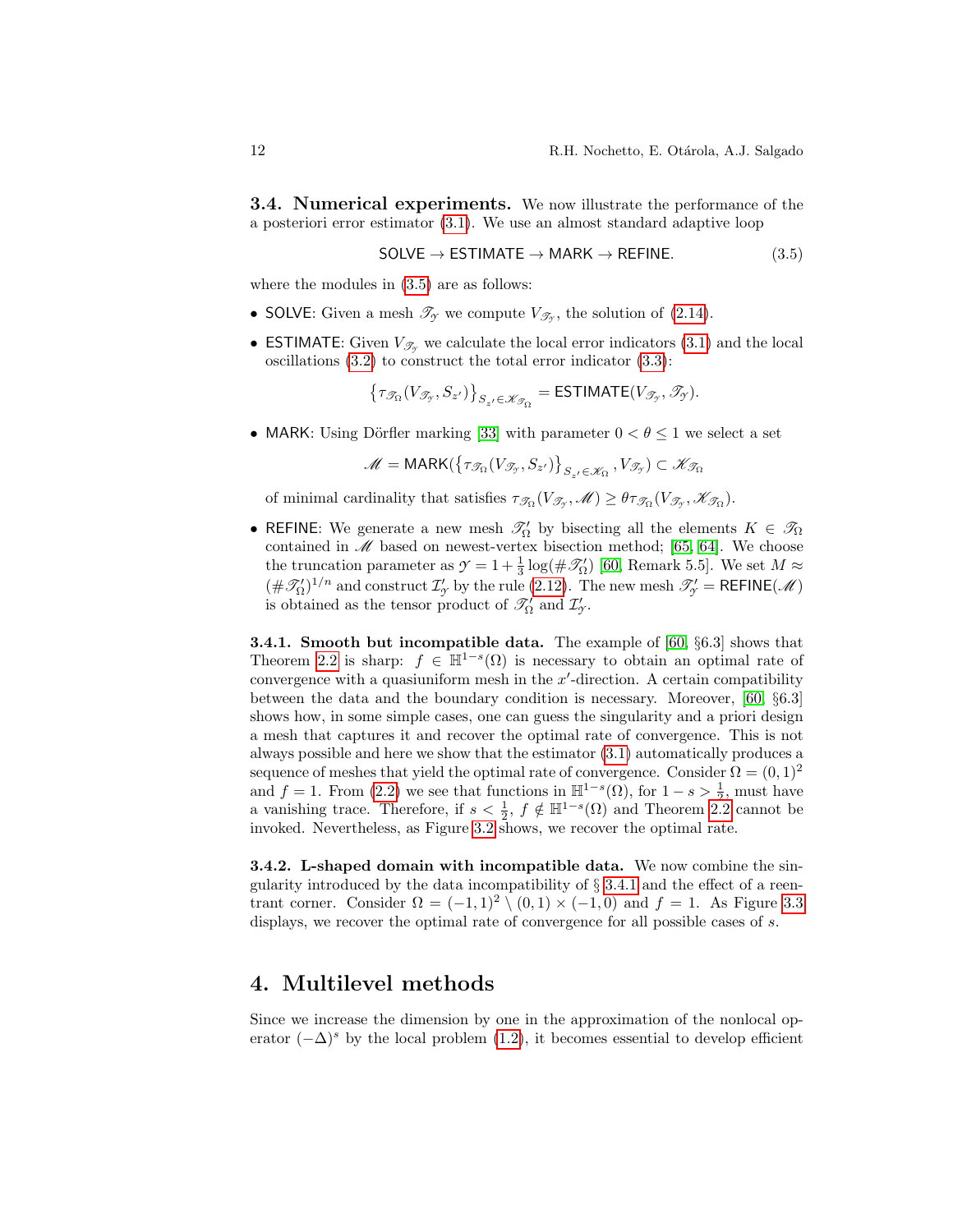**3.4. Numerical experiments.** We now illustrate the performance of the a posteriori error estimator [\(3.1\)](#page-10-1). We use an almost standard adaptive loop

<span id="page-11-1"></span>
$$
SOLVE \rightarrow ESTIMATE \rightarrow MARK \rightarrow REFINE. \tag{3.5}
$$

where the modules in  $(3.5)$  are as follows:

- SOLVE: Given a mesh  $\mathcal{T}_{\gamma}$  we compute  $V_{\mathcal{T}_{\gamma}}$ , the solution of [\(2.14\)](#page-5-0).
- **ESTIMATE:** Given  $V_{\mathscr{T}_{\alpha}}$  we calculate the local error indicators [\(3.1\)](#page-10-1) and the local oscillations [\(3.2\)](#page-10-2) to construct the total error indicator [\(3.3\)](#page-10-3):

$$
\left\{\tau_{\mathcal{I}_{\Omega}}(V_{\mathcal{I}_{\mathcal{Y}}},S_{z'})\right\}_{S_{z'}\in\mathscr{K}_{\mathcal{I}_{\Omega}}}=\textsf{ESTIMATE}(V_{\mathcal{I}_{\mathcal{Y}}},\mathcal{I}_{\mathcal{Y}}).
$$

• MARK: Using Dörfler marking [\[33\]](#page-22-13) with parameter  $0 < \theta \leq 1$  we select a set

$$
\mathscr{M}=\mathsf{MARK}(\left\{\tau_{\mathscr{T}_\Omega}(V_{\mathscr{T}_{\mathscr{T}}},S_{z'})\right\}_{S_{z'}\in\mathscr{K}_\Omega},V_{\mathscr{T}_{\mathscr{T}}})\subset\mathscr{K}_{\mathscr{T}_\Omega}
$$

of minimal cardinality that satisfies  $\tau_{\mathcal{I}_{\Omega}}(V_{\mathcal{I}_{\mathcal{I}}},\mathscr{M}) \geq \theta \tau_{\mathcal{I}_{\Omega}}(V_{\mathcal{I}_{\mathcal{I}}},\mathscr{K}_{\mathcal{I}_{\Omega}}).$ 

• REFINE: We generate a new mesh  $\mathcal{T}'_0$  by bisecting all the elements  $K \in \mathcal{T}_\Omega$ contained in  $M$  based on newest-vertex bisection method; [\[65,](#page-23-10) [64\]](#page-23-11). We choose the truncation parameter as  $\mathcal{Y} = 1 + \frac{1}{3} \log(\#\mathcal{I}'_0)$  [\[60,](#page-23-3) Remark 5.5]. We set  $M \approx$  $(\#\mathcal{I}'_0)^{1/n}$  and construct  $\mathcal{I}'_y$  by the rule [\(2.12\)](#page-5-3). The new mesh  $\mathcal{I}'_y = \mathsf{REFINE}(\mathcal{M})$ is obtained as the tensor product of  $\mathcal{I}'_{\Omega}$  and  $\mathcal{I}'_{\gamma}$ .

<span id="page-11-2"></span>3.4.1. Smooth but incompatible data. The example of [\[60,](#page-23-3) §6.3] shows that Theorem [2.2](#page-5-2) is sharp:  $f \in \mathbb{H}^{1-s}(\Omega)$  is necessary to obtain an optimal rate of convergence with a quasiuniform mesh in the  $x'$ -direction. A certain compatibility between the data and the boundary condition is necessary. Moreover, [\[60,](#page-23-3) §6.3] shows how, in some simple cases, one can guess the singularity and a priori design a mesh that captures it and recover the optimal rate of convergence. This is not always possible and here we show that the estimator [\(3.1\)](#page-10-1) automatically produces a sequence of meshes that yield the optimal rate of convergence. Consider  $\Omega = (0, 1)^2$ and f = 1. From [\(2.2\)](#page-3-3) we see that functions in  $\mathbb{H}^{1-s}(\Omega)$ , for  $1-s > \frac{1}{2}$ , must have a vanishing trace. Therefore, if  $s < \frac{1}{2}$ ,  $f \notin \mathbb{H}^{1-s}(\Omega)$  and Theorem [2.2](#page-5-2) cannot be invoked. Nevertheless, as Figure [3.2](#page-12-0) shows, we recover the optimal rate.

<span id="page-11-3"></span>3.4.2. L-shaped domain with incompatible data. We now combine the singularity introduced by the data incompatibility of  $\S 3.4.1$  $\S 3.4.1$  and the effect of a reentrant corner. Consider  $\Omega = (-1,1)^2 \setminus (0,1) \times (-1,0)$  and  $f = 1$ . As Figure [3.3](#page-12-1) displays, we recover the optimal rate of convergence for all possible cases of s.

### <span id="page-11-0"></span>4. Multilevel methods

Since we increase the dimension by one in the approximation of the nonlocal operator  $(-\Delta)^s$  by the local problem [\(1.2\)](#page-1-1), it becomes essential to develop efficient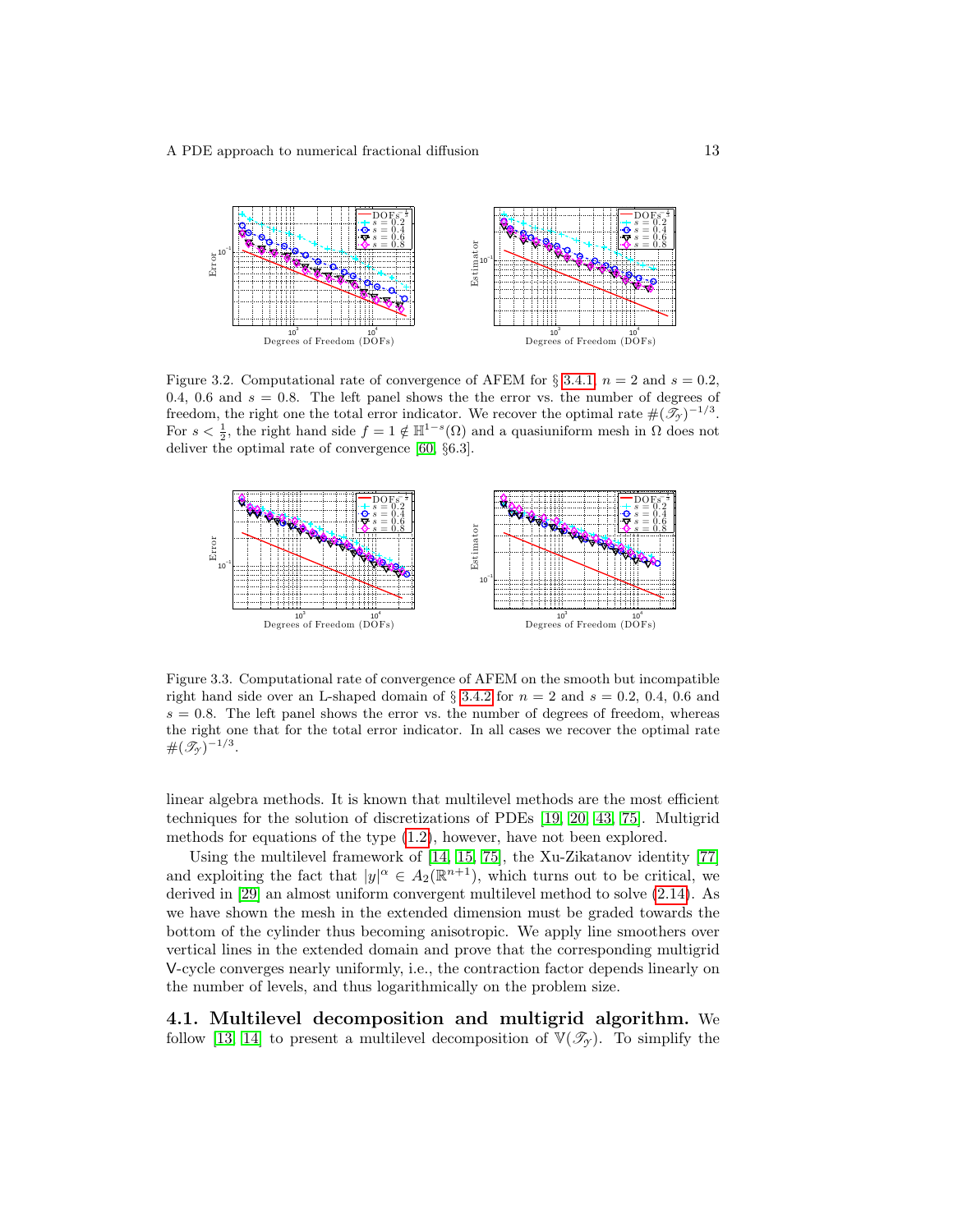

<span id="page-12-0"></span>Figure 3.2. Computational rate of convergence of AFEM for § [3.4.1,](#page-11-2)  $n = 2$  and  $s = 0.2$ , 0.4, 0.6 and  $s = 0.8$ . The left panel shows the the error vs. the number of degrees of freedom, the right one the total error indicator. We recover the optimal rate  $\#(\mathcal{T}_{\gamma})^{-1/3}$ . For  $s < \frac{1}{2}$ , the right hand side  $f = 1 \notin \mathbb{H}^{1-s}(\Omega)$  and a quasiuniform mesh in  $\Omega$  does not deliver the optimal rate of convergence [\[60,](#page-23-3) §6.3].



<span id="page-12-1"></span>Figure 3.3. Computational rate of convergence of AFEM on the smooth but incompatible right hand side over an L-shaped domain of  $\S 3.4.2$  $\S 3.4.2$  for  $n = 2$  and  $s = 0.2, 0.4, 0.6$  and  $s = 0.8$ . The left panel shows the error vs. the number of degrees of freedom, whereas the right one that for the total error indicator. In all cases we recover the optimal rate  $\#(\mathscr{T}_{\gamma})^{-1/3}.$ 

linear algebra methods. It is known that multilevel methods are the most efficient techniques for the solution of discretizations of PDEs [\[19,](#page-21-11) [20,](#page-21-12) [43,](#page-22-14) [75\]](#page-24-4). Multigrid methods for equations of the type [\(1.2\)](#page-1-1), however, have not been explored.

Using the multilevel framework of [\[14,](#page-21-13) [15,](#page-21-14) [75\]](#page-24-4), the Xu-Zikatanov identity [\[77\]](#page-24-5) and exploiting the fact that  $|y|^{\alpha} \in A_2(\mathbb{R}^{n+1})$ , which turns out to be critical, we derived in [\[29\]](#page-22-5) an almost uniform convergent multilevel method to solve [\(2.14\)](#page-5-0). As we have shown the mesh in the extended dimension must be graded towards the bottom of the cylinder thus becoming anisotropic. We apply line smoothers over vertical lines in the extended domain and prove that the corresponding multigrid V-cycle converges nearly uniformly, i.e., the contraction factor depends linearly on the number of levels, and thus logarithmically on the problem size.

4.1. Multilevel decomposition and multigrid algorithm. We follow [\[13,](#page-21-15) [14\]](#page-21-13) to present a multilevel decomposition of  $\mathbb{V}(\mathscr{T}_{\gamma})$ . To simplify the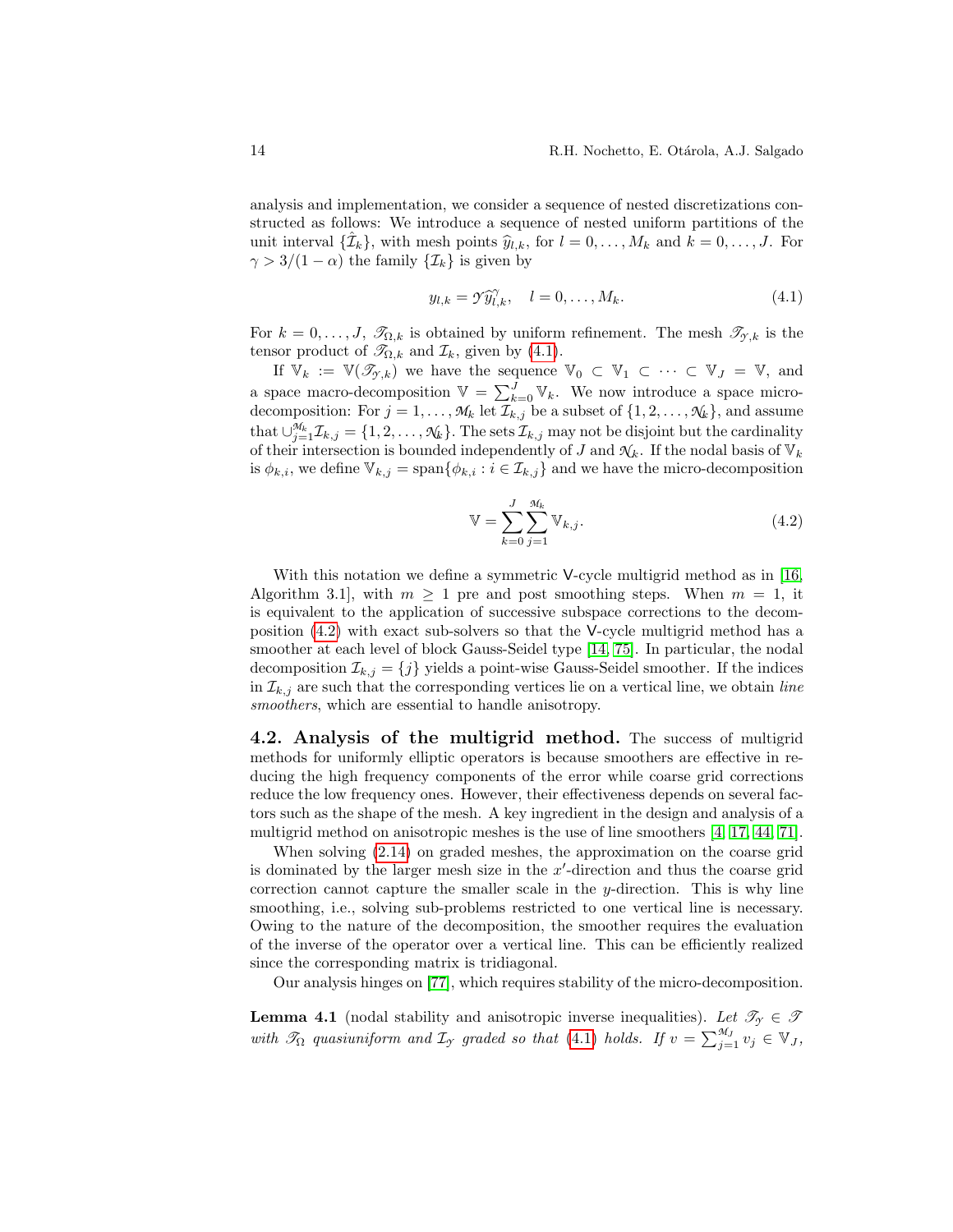analysis and implementation, we consider a sequence of nested discretizations constructed as follows: We introduce a sequence of nested uniform partitions of the unit interval  $\{\hat{\mathcal{I}}_k\}$ , with mesh points  $\hat{y}_{l,k}$ , for  $l = 0, \ldots, M_k$  and  $k = 0, \ldots, J$ . For  $\gamma > 3/(1 - \alpha)$  the family  $\{\mathcal{I}_k\}$  is given by

<span id="page-13-0"></span>
$$
y_{l,k} = \gamma \widehat{y}_{l,k}^{\gamma}, \quad l = 0, \dots, M_k. \tag{4.1}
$$

For  $k = 0, \ldots, J$ ,  $\mathcal{T}_{\Omega,k}$  is obtained by uniform refinement. The mesh  $\mathcal{T}_{\gamma,k}$  is the tensor product of  $\mathcal{T}_{\Omega,k}$  and  $\mathcal{I}_k$ , given by [\(4.1\)](#page-13-0).

If  $\mathbb{V}_k := \mathbb{V}(\mathcal{I}_{\mathcal{Y},k})$  we have the sequence  $\mathbb{V}_0 \subset \mathbb{V}_1 \subset \cdots \subset \mathbb{V}_J = \mathbb{V}$ , and a space macro-decomposition  $\mathbb{V} = \sum_{k=0}^{J} \mathbb{V}_k$ . We now introduce a space microdecomposition: For  $j = 1, ..., M_k$  let  $\mathcal{I}_{k,j}$  be a subset of  $\{1, 2, ..., \mathcal{N}_k\}$ , and assume that  $\cup_{j=1}^{\mathcal{M}_k} \mathcal{I}_{k,j} = \{1, 2, \ldots, \mathcal{N}_k\}$ . The sets  $\mathcal{I}_{k,j}$  may not be disjoint but the cardinality of their intersection is bounded independently of J and  $\mathcal{N}_k$ . If the nodal basis of  $\mathbb{V}_k$ is  $\phi_{k,i}$ , we define  $\mathbb{V}_{k,j} = \text{span}\{\phi_{k,i} : i \in \mathcal{I}_{k,j}\}\$  and we have the micro-decomposition

<span id="page-13-1"></span>
$$
\mathbb{V} = \sum_{k=0}^{J} \sum_{j=1}^{M_k} \mathbb{V}_{k,j}.
$$
\n(4.2)

With this notation we define a symmetric V-cycle multigrid method as in [\[16,](#page-21-16) Algorithm 3.1, with  $m \geq 1$  pre and post smoothing steps. When  $m = 1$ , it is equivalent to the application of successive subspace corrections to the decomposition [\(4.2\)](#page-13-1) with exact sub-solvers so that the V-cycle multigrid method has a smoother at each level of block Gauss-Seidel type [\[14,](#page-21-13) [75\]](#page-24-4). In particular, the nodal decomposition  $\mathcal{I}_{k,j} = \{j\}$  yields a point-wise Gauss-Seidel smoother. If the indices in  $\mathcal{I}_{k,j}$  are such that the corresponding vertices lie on a vertical line, we obtain line smoothers, which are essential to handle anisotropy.

4.2. Analysis of the multigrid method. The success of multigrid methods for uniformly elliptic operators is because smoothers are effective in reducing the high frequency components of the error while coarse grid corrections reduce the low frequency ones. However, their effectiveness depends on several factors such as the shape of the mesh. A key ingredient in the design and analysis of a multigrid method on anisotropic meshes is the use of line smoothers [\[4,](#page-20-7) [17,](#page-21-17) [44,](#page-22-15) [71\]](#page-24-6).

When solving [\(2.14\)](#page-5-0) on graded meshes, the approximation on the coarse grid is dominated by the larger mesh size in the  $x'$ -direction and thus the coarse grid correction cannot capture the smaller scale in the y-direction. This is why line smoothing, i.e., solving sub-problems restricted to one vertical line is necessary. Owing to the nature of the decomposition, the smoother requires the evaluation of the inverse of the operator over a vertical line. This can be efficiently realized since the corresponding matrix is tridiagonal.

Our analysis hinges on [\[77\]](#page-24-5), which requires stability of the micro-decomposition.

<span id="page-13-2"></span>**Lemma 4.1** (nodal stability and anisotropic inverse inequalities). Let  $\mathcal{T}_{\gamma} \in \mathcal{T}$ with  $\mathscr{T}_{\Omega}$  quasiuniform and  $\mathcal{I}_{\gamma}$  graded so that [\(4.1\)](#page-13-0) holds. If  $v = \sum_{j=1}^{\mathscr{M}_{J}} v_j \in V_J$ ,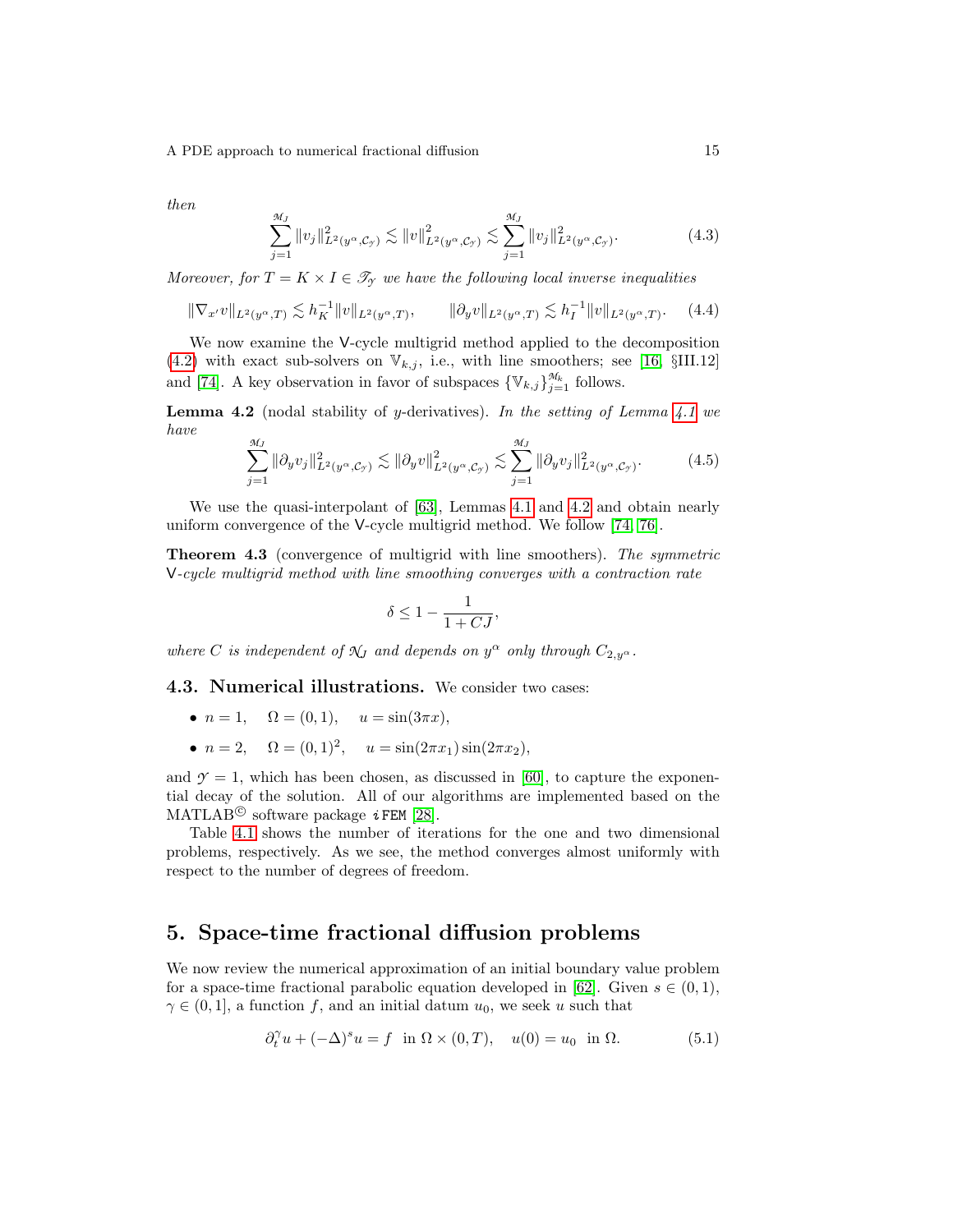then

$$
\sum_{j=1}^{\mathcal{M}_J} \|v_j\|_{L^2(y^{\alpha}, \mathcal{C}_{\mathcal{Y}})}^2 \lesssim \|v\|_{L^2(y^{\alpha}, \mathcal{C}_{\mathcal{Y}})}^2 \lesssim \sum_{j=1}^{\mathcal{M}_J} \|v_j\|_{L^2(y^{\alpha}, \mathcal{C}_{\mathcal{Y}})}^2.
$$
 (4.3)

Moreover, for  $T = K \times I \in \mathcal{T}_{\gamma}$  we have the following local inverse inequalities

$$
\|\nabla_{x'}v\|_{L^{2}(y^{\alpha},T)} \lesssim h_K^{-1} \|v\|_{L^{2}(y^{\alpha},T)}, \qquad \|\partial_y v\|_{L^{2}(y^{\alpha},T)} \lesssim h_I^{-1} \|v\|_{L^{2}(y^{\alpha},T)}.
$$
 (4.4)

We now examine the V-cycle multigrid method applied to the decomposition [\(4.2\)](#page-13-1) with exact sub-solvers on  $\mathbb{V}_{k,j}$ , i.e., with line smoothers; see [\[16,](#page-21-16) §III.12] and [\[74\]](#page-24-7). A key observation in favor of subspaces  $\{\mathbb{V}_{k,j}\}_{j=1}^{\mathcal{M}_k}$  follows.

<span id="page-14-1"></span>**Lemma 4.2** (nodal stability of y-derivatives). In the setting of Lemma  $4.1$  we have

$$
\sum_{j=1}^{\mathcal{H}_J} \|\partial_y v_j\|_{L^2(y^{\alpha}, \mathcal{C}_{\mathcal{I}})}^2 \lesssim \|\partial_y v\|_{L^2(y^{\alpha}, \mathcal{C}_{\mathcal{I}})}^2 \lesssim \sum_{j=1}^{\mathcal{H}_J} \|\partial_y v_j\|_{L^2(y^{\alpha}, \mathcal{C}_{\mathcal{I}})}^2.
$$
 (4.5)

We use the quasi-interpolant of [\[63\]](#page-23-8), Lemmas [4.1](#page-13-2) and [4.2](#page-14-1) and obtain nearly uniform convergence of the V-cycle multigrid method. We follow [\[74,](#page-24-7) [76\]](#page-24-8).

Theorem 4.3 (convergence of multigrid with line smoothers). The symmetric V-cycle multigrid method with line smoothing converges with a contraction rate

$$
\delta \leq 1-\frac{1}{1+{\cal C} J},
$$

where C is independent of  $\mathcal{N}_J$  and depends on  $y^{\alpha}$  only through  $C_{2,y^{\alpha}}$ .

4.3. Numerical illustrations. We consider two cases:

- $n = 1, \quad \Omega = (0, 1), \quad u = \sin(3\pi x),$
- $n = 2$ ,  $\Omega = (0, 1)^2$ ,  $u = \sin(2\pi x_1)\sin(2\pi x_2)$ ,

and  $\gamma = 1$ , which has been chosen, as discussed in [\[60\]](#page-23-3), to capture the exponential decay of the solution. All of our algorithms are implemented based on the MATLAB<sup>©</sup> software package  $i$  FEM [\[28\]](#page-22-16).

Table [4.1](#page-15-0) shows the number of iterations for the one and two dimensional problems, respectively. As we see, the method converges almost uniformly with respect to the number of degrees of freedom.

# <span id="page-14-0"></span>5. Space-time fractional diffusion problems

We now review the numerical approximation of an initial boundary value problem for a space-time fractional parabolic equation developed in [\[62\]](#page-23-4). Given  $s \in (0,1)$ ,  $\gamma \in (0,1]$ , a function f, and an initial datum  $u_0$ , we seek u such that

<span id="page-14-2"></span>
$$
\partial_t^{\gamma} u + (-\Delta)^s u = f \quad \text{in } \Omega \times (0, T), \quad u(0) = u_0 \quad \text{in } \Omega. \tag{5.1}
$$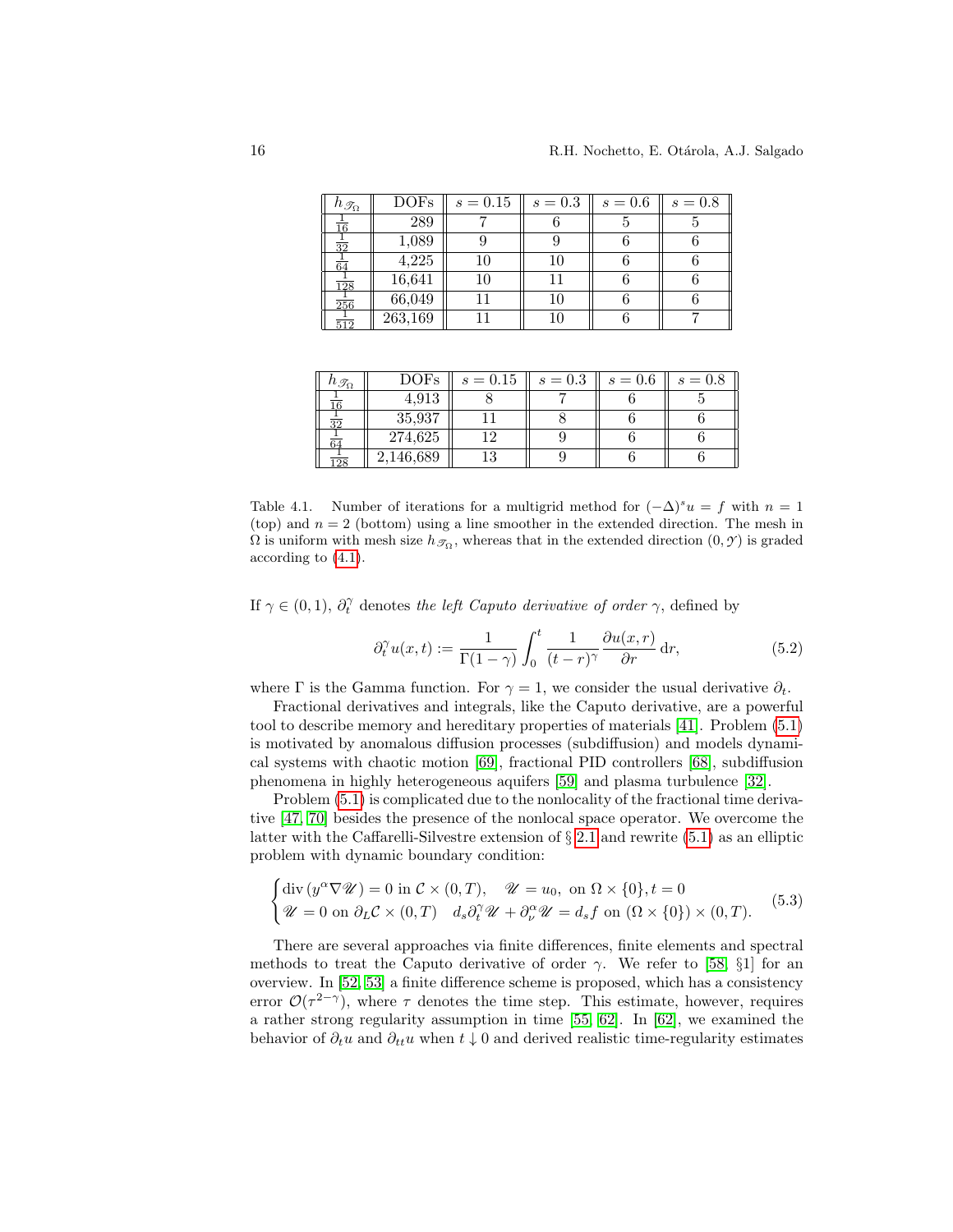| $h_{\mathscr{T}_{\Omega}}$ | DOF <sub>s</sub> | $s = 0.15$ | $s = 0.3$ | $s=0.6$ | $s=0.8$ |
|----------------------------|------------------|------------|-----------|---------|---------|
| $\frac{1}{16}$             | 289              |            |           |         |         |
| $rac{1}{32}$               | 1,089            |            |           |         |         |
| $\overline{64}$            | 4,225            | 10         | 10        |         |         |
| $\overline{128}$           | 16,641           | 10         |           |         |         |
| $\frac{1}{256}$            | 66,049           |            | 10        |         |         |
| $\overline{512}$           | 263,169          |            | 10        |         |         |

| $n_{\mathscr{T}_{\Omega}}$ | $\operatorname{DOFs}$ | $s = 0.15$ | $s = 0.3$ | $s=0.6$ | $s=0.8$ |
|----------------------------|-----------------------|------------|-----------|---------|---------|
|                            | 4,913                 |            |           |         |         |
| হত                         | 35,937                |            |           |         |         |
| 64                         | 274,625               |            |           |         |         |
| $\frac{1}{28}$             | 2,146,689             |            |           |         |         |

<span id="page-15-0"></span>Table 4.1. Number of iterations for a multigrid method for  $(-\Delta)^s u = f$  with  $n = 1$ (top) and  $n = 2$  (bottom) using a line smoother in the extended direction. The mesh in  $\Omega$  is uniform with mesh size  $h_{\mathscr{T}_{\Omega}}$ , whereas that in the extended direction  $(0, \mathscr{T})$  is graded according to [\(4.1\)](#page-13-0).

If  $\gamma \in (0, 1)$ ,  $\partial_t^{\gamma}$  denotes the left Caputo derivative of order  $\gamma$ , defined by

<span id="page-15-2"></span>
$$
\partial_t^{\gamma} u(x,t) := \frac{1}{\Gamma(1-\gamma)} \int_0^t \frac{1}{(t-r)^{\gamma}} \frac{\partial u(x,r)}{\partial r} dr, \tag{5.2}
$$

where Γ is the Gamma function. For  $\gamma = 1$ , we consider the usual derivative  $\partial_t$ .

Fractional derivatives and integrals, like the Caputo derivative, are a powerful tool to describe memory and hereditary properties of materials [\[41\]](#page-22-17). Problem [\(5.1\)](#page-14-2) is motivated by anomalous diffusion processes (subdiffusion) and models dynamical systems with chaotic motion [\[69\]](#page-24-9), fractional PID controllers [\[68\]](#page-24-10), subdiffusion phenomena in highly heterogeneous aquifers [\[59\]](#page-23-12) and plasma turbulence [\[32\]](#page-22-18).

Problem [\(5.1\)](#page-14-2) is complicated due to the nonlocality of the fractional time derivative [\[47,](#page-23-13) [70\]](#page-24-11) besides the presence of the nonlocal space operator. We overcome the latter with the Caffarelli-Silvestre extension of  $\S 2.1$  $\S 2.1$  and rewrite [\(5.1\)](#page-14-2) as an elliptic problem with dynamic boundary condition:

<span id="page-15-1"></span>
$$
\begin{cases} \operatorname{div} \left( y^{\alpha} \nabla \mathscr{U} \right) = 0 \text{ in } \mathcal{C} \times (0, T), \quad \mathscr{U} = u_0, \text{ on } \Omega \times \{0\}, t = 0 \\ \mathscr{U} = 0 \text{ on } \partial_L \mathcal{C} \times (0, T) \quad d_s \partial_t^{\gamma} \mathscr{U} + \partial_{\nu}^{\alpha} \mathscr{U} = d_s f \text{ on } (\Omega \times \{0\}) \times (0, T). \end{cases} \tag{5.3}
$$

There are several approaches via finite differences, finite elements and spectral methods to treat the Caputo derivative of order  $\gamma$ . We refer to [\[58,](#page-23-14) §1] for an overview. In [\[52,](#page-23-15) [53\]](#page-23-16) a finite difference scheme is proposed, which has a consistency error  $\mathcal{O}(\tau^{2-\gamma})$ , where  $\tau$  denotes the time step. This estimate, however, requires a rather strong regularity assumption in time [\[55,](#page-23-17) [62\]](#page-23-4). In [\[62\]](#page-23-4), we examined the behavior of  $\partial_t u$  and  $\partial_{tt} u$  when  $t \downarrow 0$  and derived realistic time-regularity estimates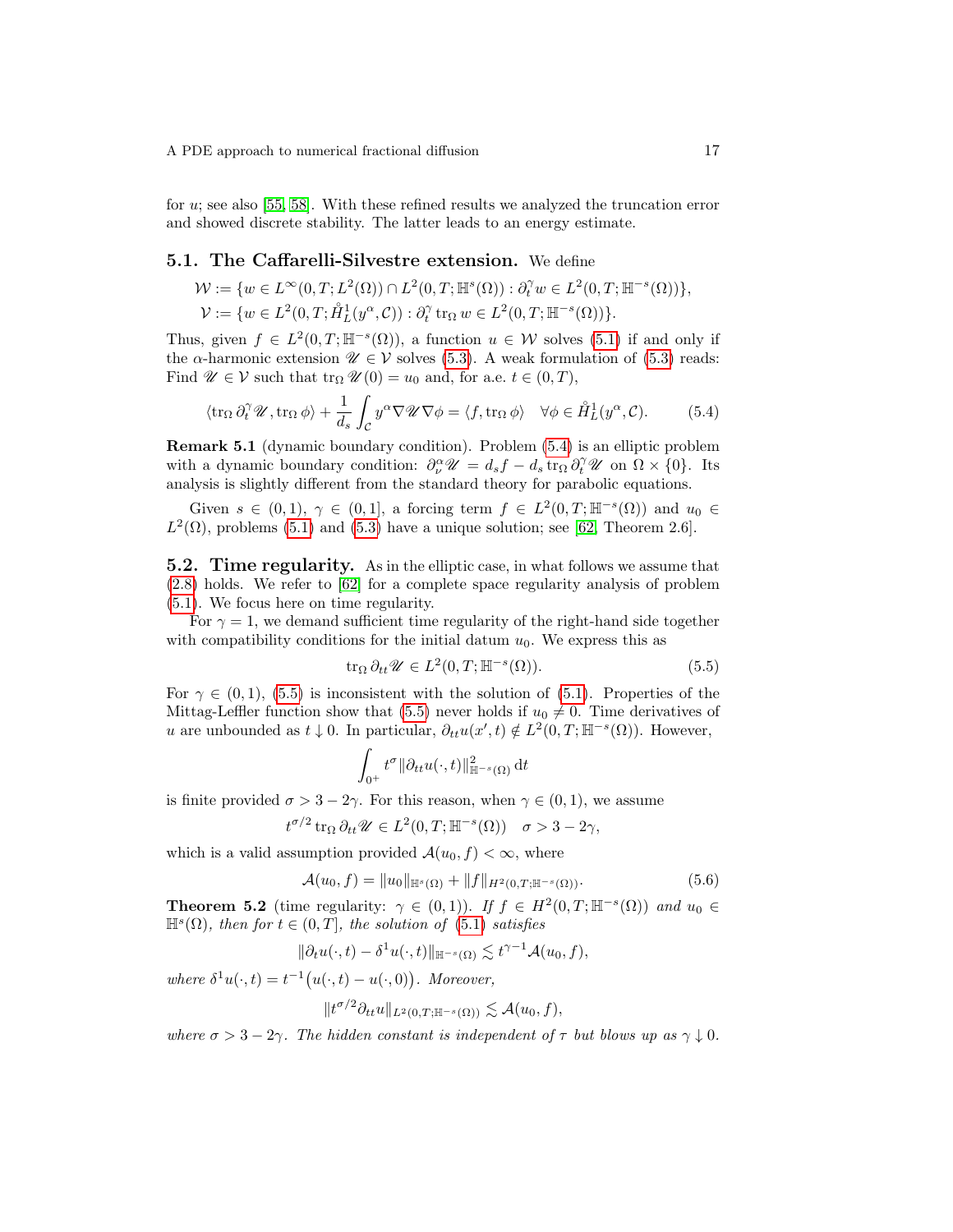for u; see also [\[55,](#page-23-17) [58\]](#page-23-14). With these refined results we analyzed the truncation error and showed discrete stability. The latter leads to an energy estimate.

#### 5.1. The Caffarelli-Silvestre extension. We define

$$
\begin{aligned} \mathcal{W} &:= \{w \in L^\infty(0,T;L^2(\Omega)) \cap L^2(0,T;\mathbb{H}^s(\Omega)) : \partial_t^\gamma w \in L^2(0,T;\mathbb{H}^{-s}(\Omega))\}, \\ \mathcal{V} &:= \{w \in L^2(0,T;\mathring{H}_L^1(y^\alpha,\mathcal{C})) : \partial_t^\gamma \operatorname{tr}_\Omega w \in L^2(0,T;\mathbb{H}^{-s}(\Omega))\}. \end{aligned}
$$

Thus, given  $f \in L^2(0,T;\mathbb{H}^{-s}(\Omega))$ , a function  $u \in \mathcal{W}$  solves [\(5.1\)](#page-14-2) if and only if the  $\alpha$ -harmonic extension  $\mathscr{U} \in \mathcal{V}$  solves [\(5.3\)](#page-15-1). A weak formulation of (5.3) reads: Find  $\mathscr{U} \in \mathcal{V}$  such that  $\text{tr}_{\Omega} \mathscr{U}(0) = u_0$  and, for a.e.  $t \in (0, T)$ ,

<span id="page-16-0"></span>
$$
\langle \operatorname{tr}_{\Omega} \partial_t^{\gamma} \mathscr{U}, \operatorname{tr}_{\Omega} \phi \rangle + \frac{1}{d_s} \int_{\mathcal{C}} y^{\alpha} \nabla \mathscr{U} \nabla \phi = \langle f, \operatorname{tr}_{\Omega} \phi \rangle \quad \forall \phi \in \mathring{H}_L^1(y^{\alpha}, \mathcal{C}). \tag{5.4}
$$

Remark 5.1 (dynamic boundary condition). Problem [\(5.4\)](#page-16-0) is an elliptic problem with a dynamic boundary condition:  $\partial_{\nu}^{\alpha} \mathscr{U} = d_s f - d_s \operatorname{tr}_{\Omega} \partial_t^{\gamma} \mathscr{U}$  on  $\Omega \times \{0\}$ . Its analysis is slightly different from the standard theory for parabolic equations.

Given  $s \in (0,1)$ ,  $\gamma \in (0,1]$ , a forcing term  $f \in L^2(0,T;\mathbb{H}^{-s}(\Omega))$  and  $u_0 \in$  $L^2(\Omega)$ , problems [\(5.1\)](#page-14-2) and [\(5.3\)](#page-15-1) have a unique solution; see [\[62,](#page-23-4) Theorem 2.6].

5.2. Time regularity. As in the elliptic case, in what follows we assume that [\(2.8\)](#page-4-4) holds. We refer to [\[62\]](#page-23-4) for a complete space regularity analysis of problem [\(5.1\)](#page-14-2). We focus here on time regularity.

For  $\gamma = 1$ , we demand sufficient time regularity of the right-hand side together with compatibility conditions for the initial datum  $u_0$ . We express this as

<span id="page-16-1"></span>
$$
\operatorname{tr}_{\Omega} \partial_{tt} \mathscr{U} \in L^{2}(0,T; \mathbb{H}^{-s}(\Omega)).
$$
\n(5.5)

For  $\gamma \in (0,1)$ , [\(5.5\)](#page-16-1) is inconsistent with the solution of [\(5.1\)](#page-14-2). Properties of the Mittag-Leffler function show that [\(5.5\)](#page-16-1) never holds if  $u_0 \neq 0$ . Time derivatives of u are unbounded as  $t \downarrow 0$ . In particular,  $\partial_{tt}u(x',t) \notin L^2(0,T;\mathbb{H}^{-s}(\Omega))$ . However,

$$
\int_{0^+} t^{\sigma} \|\partial_{tt} u(\cdot,t)\|_{\mathbb{H}^{-s}(\Omega)}^2 \, \mathrm{d}t
$$

is finite provided  $\sigma > 3 - 2\gamma$ . For this reason, when  $\gamma \in (0, 1)$ , we assume

$$
t^{\sigma/2} \operatorname{tr}_{\Omega} \partial_{tt} \mathscr{U} \in L^2(0,T; \mathbb{H}^{-s}(\Omega)) \quad \sigma > 3 - 2\gamma,
$$

which is a valid assumption provided  $\mathcal{A}(u_0, f) < \infty$ , where

<span id="page-16-3"></span>
$$
\mathcal{A}(u_0, f) = \|u_0\|_{\mathbb{H}^s(\Omega)} + \|f\|_{H^2(0,T;\mathbb{H}^{-s}(\Omega))}.
$$
\n(5.6)

<span id="page-16-2"></span>**Theorem 5.2** (time regularity:  $\gamma \in (0,1)$ ). If  $f \in H^2(0,T;\mathbb{H}^{-s}(\Omega))$  and  $u_0 \in$  $\mathbb{H}^s(\Omega)$ , then for  $t \in (0,T]$ , the solution of  $(5.1)$  satisfies

$$
\|\partial_t u(\cdot,t) - \delta^1 u(\cdot,t)\|_{\mathbb{H}^{-s}(\Omega)} \lesssim t^{\gamma-1} \mathcal{A}(u_0,f),
$$

where  $\delta^1 u(\cdot, t) = t^{-1} (u(\cdot, t) - u(\cdot, 0))$ . Moreover,

$$
||t^{\sigma/2}\partial_{tt}u||_{L^2(0,T;\mathbb{H}^{-s}(\Omega))}\lesssim \mathcal{A}(u_0,f),
$$

where  $\sigma > 3 - 2\gamma$ . The hidden constant is independent of  $\tau$  but blows up as  $\gamma \downarrow 0$ .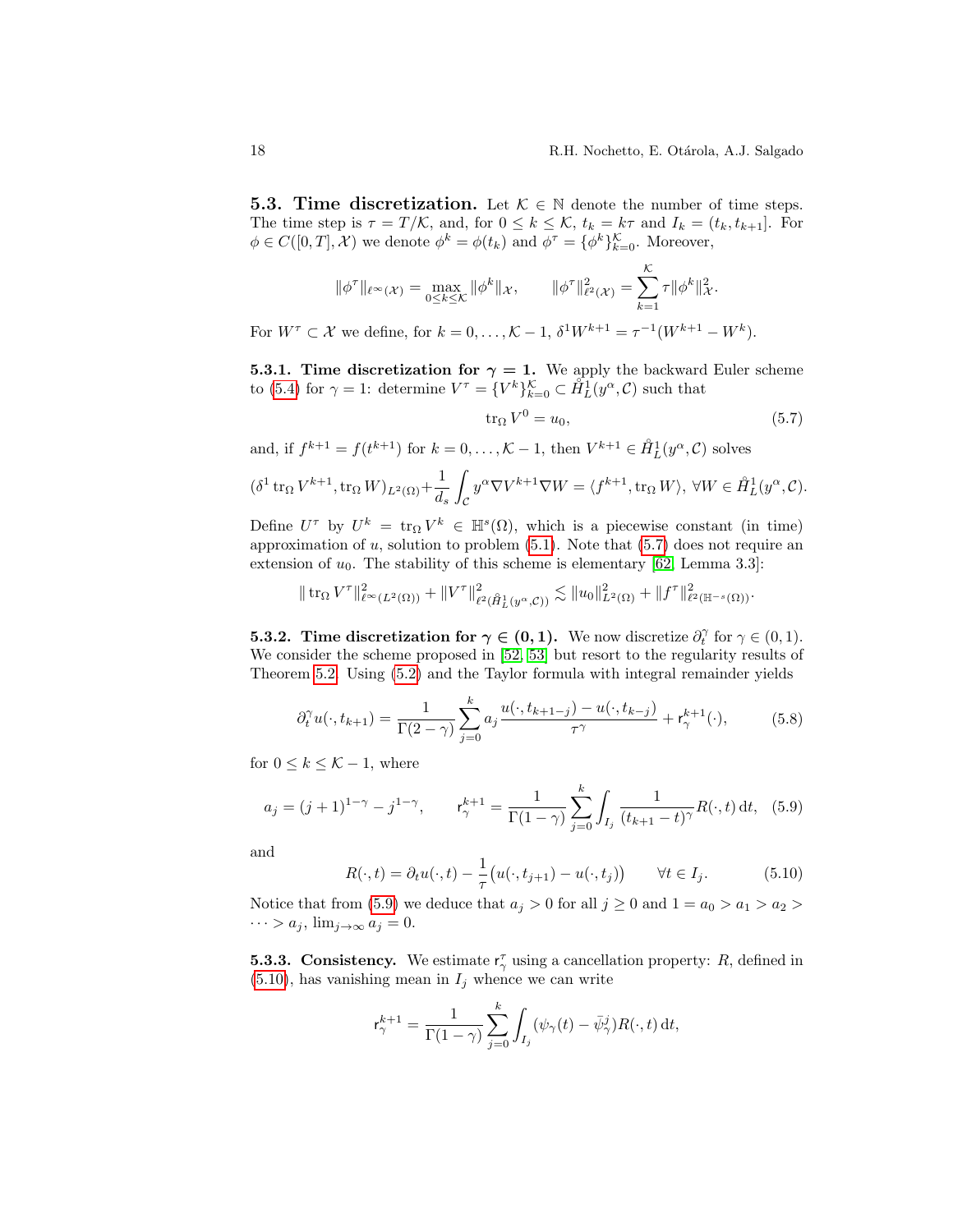**5.3. Time discretization.** Let  $K \in \mathbb{N}$  denote the number of time steps. The time step is  $\tau = T/\mathcal{K}$ , and, for  $0 \leq k \leq \mathcal{K}$ ,  $t_k = k\tau$  and  $I_k = (t_k, t_{k+1}]$ . For  $\phi \in C([0, T], \mathcal{X})$  we denote  $\phi^k = \phi(t_k)$  and  $\phi^{\tau} = {\phi^k}_{k=0}^{\mathcal{K}}$ . Moreover,

$$
\|\phi^{\tau}\|_{\ell^{\infty}}(\mathcal{X}) = \max_{0 \leq k \leq K} \|\phi^k\|_{\mathcal{X}}, \qquad \|\phi^{\tau}\|_{\ell^2(\mathcal{X})}^2 = \sum_{k=1}^K \tau \|\phi^k\|_{\mathcal{X}}^2.
$$

For  $W^{\tau} \subset \mathcal{X}$  we define, for  $k = 0, \ldots, \mathcal{K} - 1$ ,  $\delta^1 W^{k+1} = \tau^{-1}(W^{k+1} - W^k)$ .

<span id="page-17-4"></span>**5.3.1. Time discretization for**  $\gamma = 1$ **.** We apply the backward Euler scheme to [\(5.4\)](#page-16-0) for  $\gamma = 1$ : determine  $V^{\tau} = \{V^k\}_{k=0}^{\mathcal{K}} \subset \hat{H}_L^1(y^{\alpha}, \mathcal{C})$  such that

<span id="page-17-0"></span>
$$
\operatorname{tr}_{\Omega} V^0 = u_0,\tag{5.7}
$$

and, if  $f^{k+1} = f(t^{k+1})$  for  $k = 0, ..., K - 1$ , then  $V^{k+1} \in \mathring{H}_L^1(y^\alpha, \mathcal{C})$  solves

$$
(\delta^1 \operatorname{tr}_\Omega V^{k+1}, \operatorname{tr}_\Omega W)_{L^2(\Omega)} + \frac{1}{d_s} \int_{\mathcal{C}} y^\alpha \nabla V^{k+1} \nabla W = \langle f^{k+1}, \operatorname{tr}_\Omega W \rangle, \ \forall W \in \mathring{H}_L^1(y^\alpha, \mathcal{C}).
$$

Define  $U^{\tau}$  by  $U^{k} = \text{tr}_{\Omega} V^{k} \in \mathbb{H}^{s}(\Omega)$ , which is a piecewise constant (in time) approximation of  $u$ , solution to problem  $(5.1)$ . Note that  $(5.7)$  does not require an extension of  $u_0$ . The stability of this scheme is elementary [\[62,](#page-23-4) Lemma 3.3]:

$$
\|\operatorname{tr}_{\Omega} V^{\tau}\|_{\ell^{\infty}(L^{2}(\Omega))}^{2} + \|V^{\tau}\|_{\ell^{2}(\mathring{H}^{1}_{L}(y^{\alpha},\mathcal{C}))}^{2} \lesssim \|u_{0}\|_{L^{2}(\Omega)}^{2} + \|f^{\tau}\|_{\ell^{2}(\mathbb{H}^{-s}(\Omega))}^{2}.
$$

<span id="page-17-5"></span>**5.3.2.** Time discretization for  $\gamma \in (0,1)$ . We now discretize  $\partial_t^{\gamma}$  for  $\gamma \in (0,1)$ . We consider the scheme proposed in [\[52,](#page-23-15) [53\]](#page-23-16) but resort to the regularity results of Theorem [5.2.](#page-16-2) Using [\(5.2\)](#page-15-2) and the Taylor formula with integral remainder yields

<span id="page-17-3"></span>
$$
\partial_t^{\gamma} u(\cdot, t_{k+1}) = \frac{1}{\Gamma(2-\gamma)} \sum_{j=0}^k a_j \frac{u(\cdot, t_{k+1-j}) - u(\cdot, t_{k-j})}{\tau^{\gamma}} + \mathsf{r}_{\gamma}^{k+1}(\cdot),\tag{5.8}
$$

for  $0 \leq k \leq \mathcal{K} - 1$ , where

<span id="page-17-1"></span>
$$
a_j = (j+1)^{1-\gamma} - j^{1-\gamma}, \qquad \mathsf{r}_{\gamma}^{k+1} = \frac{1}{\Gamma(1-\gamma)} \sum_{j=0}^{k} \int_{I_j} \frac{1}{(t_{k+1} - t)^{\gamma}} R(\cdot, t) \, \mathrm{d}t, \tag{5.9}
$$

and

<span id="page-17-2"></span>
$$
R(\cdot, t) = \partial_t u(\cdot, t) - \frac{1}{\tau} \big( u(\cdot, t_{j+1}) - u(\cdot, t_j) \big) \qquad \forall t \in I_j. \tag{5.10}
$$

Notice that from [\(5.9\)](#page-17-1) we deduce that  $a_j > 0$  for all  $j \ge 0$  and  $1 = a_0 > a_1 > a_2 >$  $\cdots > a_j$ ,  $\lim_{j \to \infty} a_j = 0$ .

**5.3.3. Consistency.** We estimate  $r_{\gamma}^{\tau}$  using a cancellation property: R, defined in  $(5.10)$ , has vanishing mean in  $I_j$  whence we can write

$$
\mathsf{r}_{\gamma}^{k+1} = \frac{1}{\Gamma(1-\gamma)} \sum_{j=0}^{k} \int_{I_j} (\psi_{\gamma}(t) - \bar{\psi}_{\gamma}^j) R(\cdot, t) \, \mathrm{d}t,
$$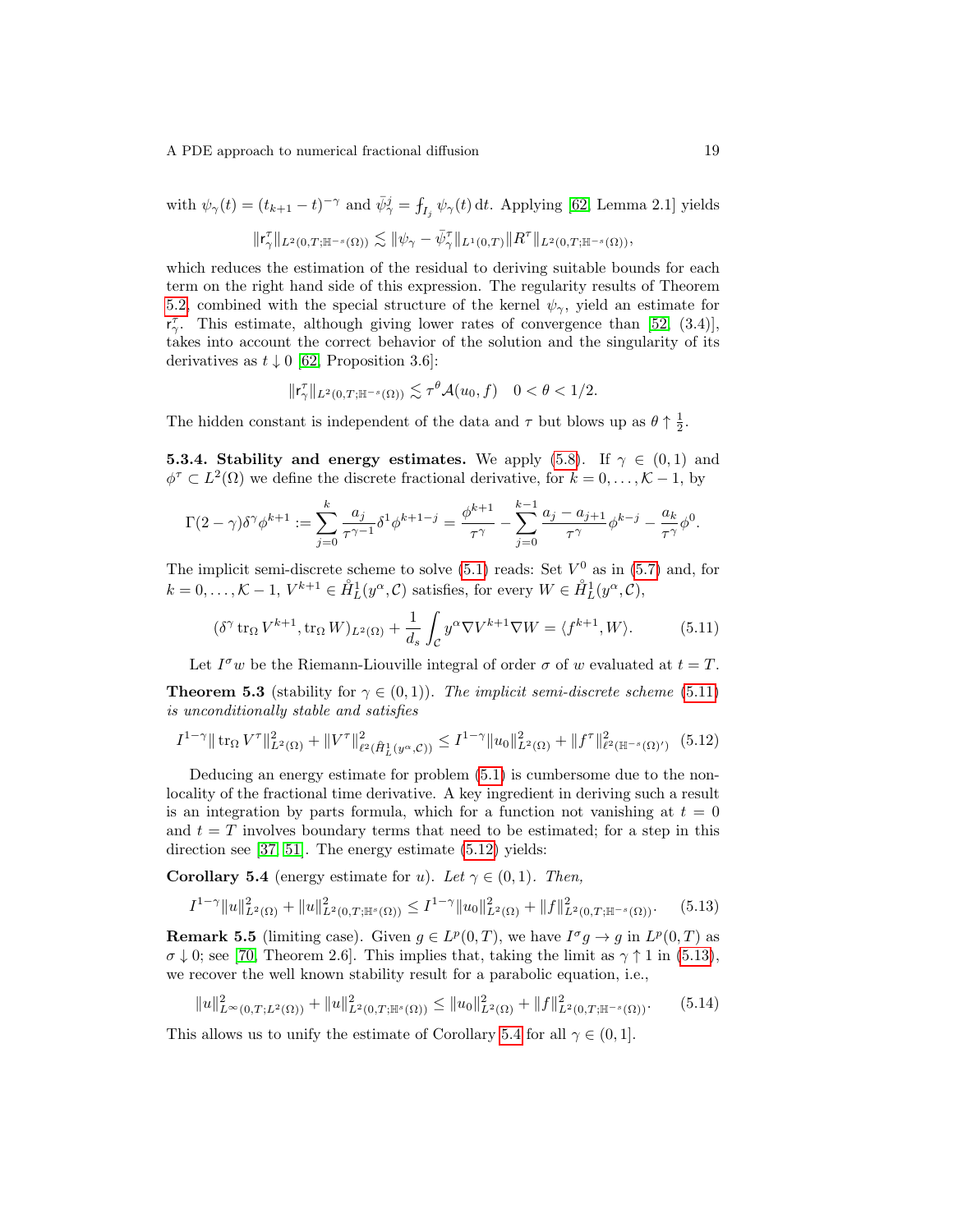with  $\psi_{\gamma}(t) = (t_{k+1} - t)^{-\gamma}$  and  $\bar{\psi}_{\gamma}^{j} = \int_{I_j} \psi_{\gamma}(t) dt$ . Applying [\[62,](#page-23-4) Lemma 2.1] yields  $\| \mathsf{r}^\tau_\gamma \|_{L^2(0,T; \mathbb{H}^{-s}(\Omega))} \lesssim \| \psi_\gamma - \bar{\psi}^\tau_\gamma \|_{L^1(0,T)} \| R^\tau \|_{L^2(0,T; \mathbb{H}^{-s}(\Omega))},$ 

which reduces the estimation of the residual to deriving suitable bounds for each term on the right hand side of this expression. The regularity results of Theorem [5.2,](#page-16-2) combined with the special structure of the kernel  $\psi_{\gamma}$ , yield an estimate for  $r_{\gamma}^{\tau}$ . This estimate, although giving lower rates of convergence than [\[52,](#page-23-15) (3.4)], takes into account the correct behavior of the solution and the singularity of its derivatives as  $t \downarrow 0$  [\[62,](#page-23-4) Proposition 3.6]:

$$
\|\mathsf{r}^\tau_\gamma\|_{L^2(0,T;\mathbb{H}^{-s}(\Omega))}\lesssim \tau^\theta\mathcal{A}(u_0,f)\quad 0<\theta<1/2.
$$

The hidden constant is independent of the data and  $\tau$  but blows up as  $\theta \uparrow \frac{1}{2}$ .

**5.3.4. Stability and energy estimates.** We apply [\(5.8\)](#page-17-3). If  $\gamma \in (0,1)$  and  $\phi^{\tau} \subset L^2(\Omega)$  we define the discrete fractional derivative, for  $k = 0, \ldots, \mathcal{K} - 1$ , by

$$
\Gamma(2-\gamma)\delta^{\gamma}\phi^{k+1} := \sum_{j=0}^{k} \frac{a_j}{\tau^{\gamma-1}} \delta^1 \phi^{k+1-j} = \frac{\phi^{k+1}}{\tau^{\gamma}} - \sum_{j=0}^{k-1} \frac{a_j - a_{j+1}}{\tau^{\gamma}} \phi^{k-j} - \frac{a_k}{\tau^{\gamma}} \phi^0.
$$

The implicit semi-discrete scheme to solve  $(5.1)$  reads: Set  $V^0$  as in  $(5.7)$  and, for  $k = 0, \ldots, \mathcal{K} - 1, V^{k+1} \in \mathring{H}_L^1(y^\alpha, \mathcal{C})$  satisfies, for every  $W \in \mathring{H}_L^1(y^\alpha, \mathcal{C})$ ,

<span id="page-18-0"></span>
$$
(\delta^{\gamma} \operatorname{tr}_{\Omega} V^{k+1}, \operatorname{tr}_{\Omega} W)_{L^{2}(\Omega)} + \frac{1}{d_{s}} \int_{\mathcal{C}} y^{\alpha} \nabla V^{k+1} \nabla W = \langle f^{k+1}, W \rangle.
$$
 (5.11)

Let  $I^{\sigma}w$  be the Riemann-Liouville integral of order  $\sigma$  of w evaluated at  $t = T$ .

**Theorem 5.3** (stability for  $\gamma \in (0,1)$ ). The implicit semi-discrete scheme [\(5.11\)](#page-18-0) is unconditionally stable and satisfies

<span id="page-18-1"></span>
$$
I^{1-\gamma} \|\operatorname{tr}_{\Omega} V^{\tau}\|_{L^{2}(\Omega)}^{2} + \|V^{\tau}\|_{\ell^{2}(\mathring{H}_{L}^{1}(y^{\alpha}, \mathcal{C}))}^{2} \leq I^{1-\gamma} \|u_{0}\|_{L^{2}(\Omega)}^{2} + \|f^{\tau}\|_{\ell^{2}(\mathbb{H}^{-s}(\Omega))}^{2} \tag{5.12}
$$

Deducing an energy estimate for problem [\(5.1\)](#page-14-2) is cumbersome due to the nonlocality of the fractional time derivative. A key ingredient in deriving such a result is an integration by parts formula, which for a function not vanishing at  $t = 0$ and  $t = T$  involves boundary terms that need to be estimated; for a step in this direction see [\[37,](#page-22-19) [51\]](#page-23-18). The energy estimate [\(5.12\)](#page-18-1) yields:

<span id="page-18-3"></span>**Corollary 5.4** (energy estimate for u). Let  $\gamma \in (0,1)$ . Then,

<span id="page-18-2"></span>
$$
I^{1-\gamma} \|u\|_{L^2(\Omega)}^2 + \|u\|_{L^2(0,T;\mathbb{H}^s(\Omega))}^2 \leq I^{1-\gamma} \|u_0\|_{L^2(\Omega)}^2 + \|f\|_{L^2(0,T;\mathbb{H}^{-s}(\Omega))}^2. \tag{5.13}
$$

<span id="page-18-4"></span>**Remark 5.5** (limiting case). Given  $g \in L^p(0,T)$ , we have  $I^{\sigma}g \to g$  in  $L^p(0,T)$  as  $\sigma \downarrow 0$ ; see [\[70,](#page-24-11) Theorem 2.6]. This implies that, taking the limit as  $\gamma \uparrow 1$  in [\(5.13\)](#page-18-2), we recover the well known stability result for a parabolic equation, i.e.,

$$
||u||_{L^{\infty}(0,T;L^{2}(\Omega))}^{2} + ||u||_{L^{2}(0,T;\mathbb{H}^{s}(\Omega))}^{2} \leq ||u_{0}||_{L^{2}(\Omega)}^{2} + ||f||_{L^{2}(0,T;\mathbb{H}^{-s}(\Omega))}^{2}.
$$
 (5.14)

This allows us to unify the estimate of Corollary [5.4](#page-18-3) for all  $\gamma \in (0,1]$ .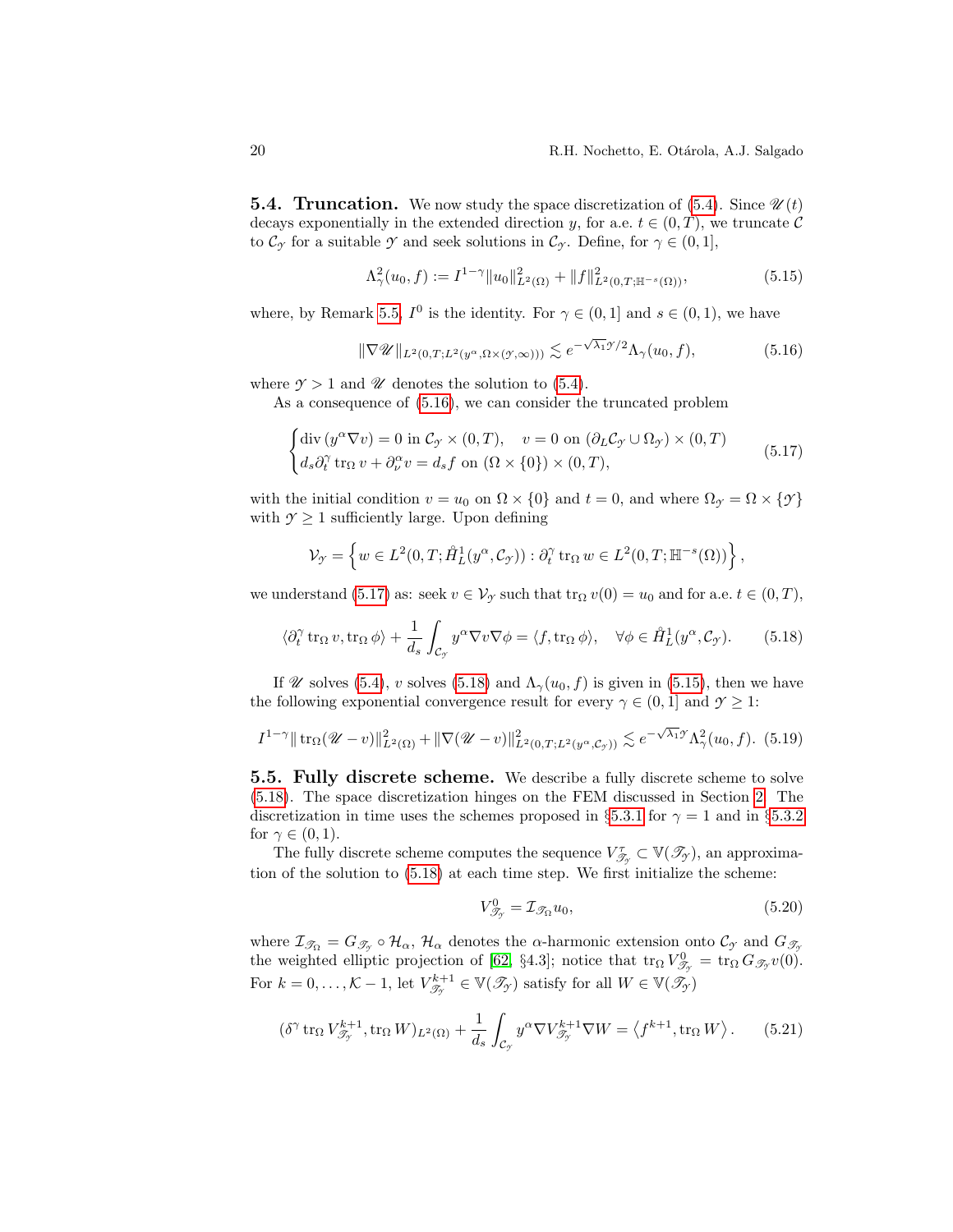**5.4. Truncation.** We now study the space discretization of [\(5.4\)](#page-16-0). Since  $\mathscr{U}(t)$ decays exponentially in the extended direction y, for a.e.  $t \in (0, T)$ , we truncate C to  $\mathcal{C}_{\gamma}$  for a suitable  $\gamma$  and seek solutions in  $\mathcal{C}_{\gamma}$ . Define, for  $\gamma \in (0,1],$ 

<span id="page-19-3"></span>
$$
\Lambda^2_\gamma(u_0, f) := I^{1-\gamma} \|u_0\|_{L^2(\Omega)}^2 + \|f\|_{L^2(0,T; \mathbb{H}^{-s}(\Omega))}^2,
$$
\n(5.15)

where, by Remark [5.5,](#page-18-4)  $I^0$  is the identity. For  $\gamma \in (0,1]$  and  $s \in (0,1)$ , we have

<span id="page-19-0"></span>
$$
\|\nabla \mathscr{U}\|_{L^{2}(0,T;L^{2}(y^{\alpha},\Omega\times(y,\infty)))} \lesssim e^{-\sqrt{\lambda_{1}}\mathscr{Y}/2} \Lambda_{\gamma}(u_{0},f), \tag{5.16}
$$

where  $\gamma > 1$  and  $\mathscr U$  denotes the solution to [\(5.4\)](#page-16-0).

As a consequence of [\(5.16\)](#page-19-0), we can consider the truncated problem

<span id="page-19-1"></span>
$$
\begin{cases} \operatorname{div} \left( y^{\alpha} \nabla v \right) = 0 \text{ in } \mathcal{C}_{\mathcal{I}} \times (0, T), \quad v = 0 \text{ on } \left( \partial_L \mathcal{C}_{\mathcal{I}} \cup \Omega_{\mathcal{I}} \right) \times (0, T) \\ d_s \partial_t^{\gamma} \operatorname{tr}_{\Omega} v + \partial_{\nu}^{\alpha} v = d_s f \text{ on } \left( \Omega \times \{ 0 \} \right) \times (0, T), \end{cases} \tag{5.17}
$$

with the initial condition  $v = u_0$  on  $\Omega \times \{0\}$  and  $t = 0$ , and where  $\Omega_{\gamma} = \Omega \times \{\gamma\}$ with  $\gamma \geq 1$  sufficiently large. Upon defining

$$
\mathcal{V}_{\mathcal{T}} = \left\{ w \in L^2(0,T; \mathring{H}_L^1(y^{\alpha}, \mathcal{C}_{\mathcal{T}})) : \partial_t^{\gamma} \operatorname{tr}_{\Omega} w \in L^2(0,T; \mathbb{H}^{-s}(\Omega)) \right\},\,
$$

we understand [\(5.17\)](#page-19-1) as: seek  $v \in V_\gamma$  such that  $\text{tr}_\Omega v(0) = u_0$  and for a.e.  $t \in (0, T)$ ,

<span id="page-19-2"></span>
$$
\langle \partial_t^{\gamma} \operatorname{tr}_{\Omega} v, \operatorname{tr}_{\Omega} \phi \rangle + \frac{1}{d_s} \int_{\mathcal{C}_{\mathcal{I}}} y^{\alpha} \nabla v \nabla \phi = \langle f, \operatorname{tr}_{\Omega} \phi \rangle, \quad \forall \phi \in \mathring{H}_L^1(y^{\alpha}, \mathcal{C}_{\mathcal{I}}). \tag{5.18}
$$

If W solves [\(5.4\)](#page-16-0), v solves [\(5.18\)](#page-19-2) and  $\Lambda_{\gamma}(u_0, f)$  is given in [\(5.15\)](#page-19-3), then we have the following exponential convergence result for every  $\gamma \in (0, 1]$  and  $\gamma \geq 1$ :

$$
I^{1-\gamma} \|\operatorname{tr}_{\Omega}(\mathscr{U}-v)\|_{L^{2}(\Omega)}^{2} + \|\nabla(\mathscr{U}-v)\|_{L^{2}(0,T;L^{2}(y^{\alpha},\mathcal{C}_{\mathcal{I}}))}^{2} \lesssim e^{-\sqrt{\lambda_{1}}\mathscr{I}} \Lambda_{\gamma}^{2}(u_{0},f). \tag{5.19}
$$

5.5. Fully discrete scheme. We describe a fully discrete scheme to solve [\(5.18\)](#page-19-2). The space discretization hinges on the FEM discussed in Section [2.](#page-2-1) The discretization in time uses the schemes proposed in §[5.3.1](#page-17-4) for  $\gamma = 1$  and in §[5.3.2](#page-17-5) for  $\gamma \in (0,1)$ .

The fully discrete scheme computes the sequence  $V^{\tau}_{\mathscr{T}_{\mathscr{T}}} \subset \mathbb{V}(\mathscr{T}_{\mathscr{T}})$ , an approximation of the solution to [\(5.18\)](#page-19-2) at each time step. We first initialize the scheme:

<span id="page-19-4"></span>
$$
V_{\mathcal{T}_{\gamma}}^{0} = \mathcal{I}_{\mathcal{T}_{\Omega}} u_{0},\tag{5.20}
$$

where  $\mathcal{I}_{\mathcal{J}_{\Omega}} = G_{\mathcal{J}_{\gamma}} \circ \mathcal{H}_{\alpha}$ ,  $\mathcal{H}_{\alpha}$  denotes the  $\alpha$ -harmonic extension onto  $\mathcal{C}_{\gamma}$  and  $G_{\mathcal{J}_{\gamma}}$ the weighted elliptic projection of [\[62,](#page-23-4) §4.3]; notice that  $\text{tr}_{\Omega} V_{\mathscr{T}_{\mathscr{T}}}^0 = \text{tr}_{\Omega} G_{\mathscr{T}_{\mathscr{T}}} v(0)$ . For  $k = 0, ..., K - 1$ , let  $V_{\mathscr{T}_{\mathscr{T}}}^{k+1} \in \mathbb{V}(\mathscr{T}_{\mathscr{T}})$  satisfy for all  $W \in \mathbb{V}(\mathscr{T}_{\mathscr{T}})$ 

<span id="page-19-5"></span>
$$
(\delta^{\gamma} \operatorname{tr}_{\Omega} V_{\mathscr{T}_{\gamma}}^{k+1}, \operatorname{tr}_{\Omega} W)_{L^{2}(\Omega)} + \frac{1}{d_{s}} \int_{\mathcal{C}_{\gamma}} y^{\alpha} \nabla V_{\mathscr{T}_{\gamma}}^{k+1} \nabla W = \left\langle f^{k+1}, \operatorname{tr}_{\Omega} W \right\rangle. \tag{5.21}
$$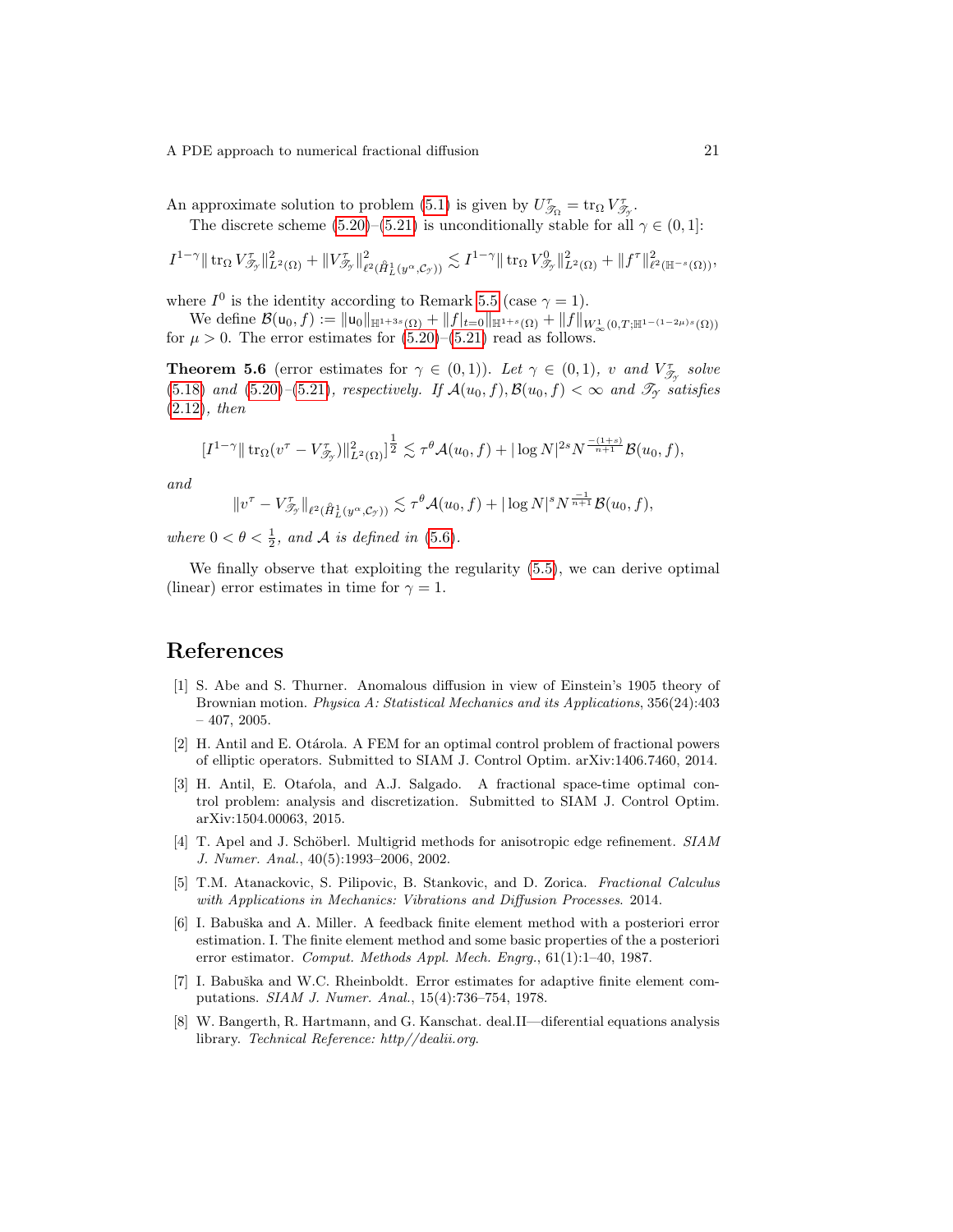An approximate solution to problem [\(5.1\)](#page-14-2) is given by  $U_{\mathcal{T}_{\Omega}}^{\tau} = \text{tr}_{\Omega} V_{\mathcal{T}_{\mathcal{T}}}^{\tau}$ .

The discrete scheme [\(5.20\)](#page-19-4)–[\(5.21\)](#page-19-5) is unconditionally stable for all  $\gamma \in (0, 1]$ :

$$
I^{1-\gamma} \|\operatorname{tr}_{\Omega} V_{\mathscr{T}_{\gamma}}^{\tau}\|_{L^{2}(\Omega)}^{2} + \|V_{\mathscr{T}_{\gamma}}^{\tau}\|_{\ell^{2}(\hat{H}_{L}^{1}(y^{\alpha}, \mathcal{C}_{\gamma}))}^{2} \lesssim I^{1-\gamma} \|\operatorname{tr}_{\Omega} V_{\mathscr{T}_{\gamma}}^{0}\|_{L^{2}(\Omega)}^{2} + \|f^{\tau}\|_{\ell^{2}(\mathbb{H}^{-s}(\Omega))}^{2},
$$

where  $I^0$  is the identity according to Remark [5.5](#page-18-4) (case  $\gamma = 1$ ).

We define  $\mathcal{B}(\mathsf{u}_0, f) := \|\mathsf{u}_0\|_{\mathbb{H}^{1+3s}(\Omega)} + \|f|_{t=0}\|_{\mathbb{H}^{1+s}(\Omega)} + \|f\|_{W^1_{\infty}(0,T;\mathbb{H}^{1-(1-2\mu)s}(\Omega))}$ for  $\mu > 0$ . The error estimates for  $(5.20)$ – $(5.21)$  read as follows.

**Theorem 5.6** (error estimates for  $\gamma \in (0,1)$ ). Let  $\gamma \in (0,1)$ , v and  $V_{\mathscr{T}_{\gamma}}^{\tau}$  solve [\(5.18\)](#page-19-2) and [\(5.20\)](#page-19-4)–[\(5.21\)](#page-19-5), respectively. If  $\mathcal{A}(u_0, f), \mathcal{B}(u_0, f) < \infty$  and  $\mathcal{T}_\mathcal{I}$  satisfies [\(2.12\)](#page-5-3), then

$$
[I^{1-\gamma} \|\operatorname{tr}_{\Omega}(v^{\tau} - V^{\tau}_{\mathscr{T}_{\gamma}})\|_{L^{2}(\Omega)}^{2}]^{\frac{1}{2}} \lesssim \tau^{\theta} \mathcal{A}(u_{0}, f) + |\log N|^{2s} N^{\frac{-(1+s)}{n+1}} \mathcal{B}(u_{0}, f),
$$

and

$$
||v^{\tau} - V_{\mathscr{T}_{\gamma}}^{\tau}||_{\ell^2(\mathring{H}_L^1(y^{\alpha}, \mathcal{C}_{\gamma}))} \lesssim \tau^{\theta} \mathcal{A}(u_0, f) + |\log N|^s N^{\frac{-1}{n+1}} \mathcal{B}(u_0, f),
$$

where  $0 < \theta < \frac{1}{2}$ , and A is defined in [\(5.6\)](#page-16-3).

We finally observe that exploiting the regularity [\(5.5\)](#page-16-1), we can derive optimal (linear) error estimates in time for  $\gamma = 1$ .

# References

- <span id="page-20-0"></span>[1] S. Abe and S. Thurner. Anomalous diffusion in view of Einstein's 1905 theory of Brownian motion. Physica A: Statistical Mechanics and its Applications, 356(24):403  $-407, 2005.$
- <span id="page-20-2"></span>[2] H. Antil and E. Otárola. A FEM for an optimal control problem of fractional powers of elliptic operators. Submitted to SIAM J. Control Optim. arXiv:1406.7460, 2014.
- <span id="page-20-3"></span>[3] H. Antil, E. Otarola, and A.J. Salgado. A fractional space-time optimal control problem: analysis and discretization. Submitted to SIAM J. Control Optim. arXiv:1504.00063, 2015.
- <span id="page-20-7"></span>[4] T. Apel and J. Schöberl. Multigrid methods for anisotropic edge refinement. SIAM J. Numer. Anal., 40(5):1993–2006, 2002.
- <span id="page-20-1"></span>[5] T.M. Atanackovic, S. Pilipovic, B. Stankovic, and D. Zorica. Fractional Calculus with Applications in Mechanics: Vibrations and Diffusion Processes. 2014.
- <span id="page-20-5"></span>[6] I. Babuška and A. Miller. A feedback finite element method with a posteriori error estimation. I. The finite element method and some basic properties of the a posteriori error estimator. Comput. Methods Appl. Mech. Engrg., 61(1):1–40, 1987.
- <span id="page-20-6"></span>[7] I. Babuška and W.C. Rheinboldt. Error estimates for adaptive finite element computations. SIAM J. Numer. Anal., 15(4):736–754, 1978.
- <span id="page-20-4"></span>[8] W. Bangerth, R. Hartmann, and G. Kanschat. deal.II—diferential equations analysis library. Technical Reference: http//dealii.org.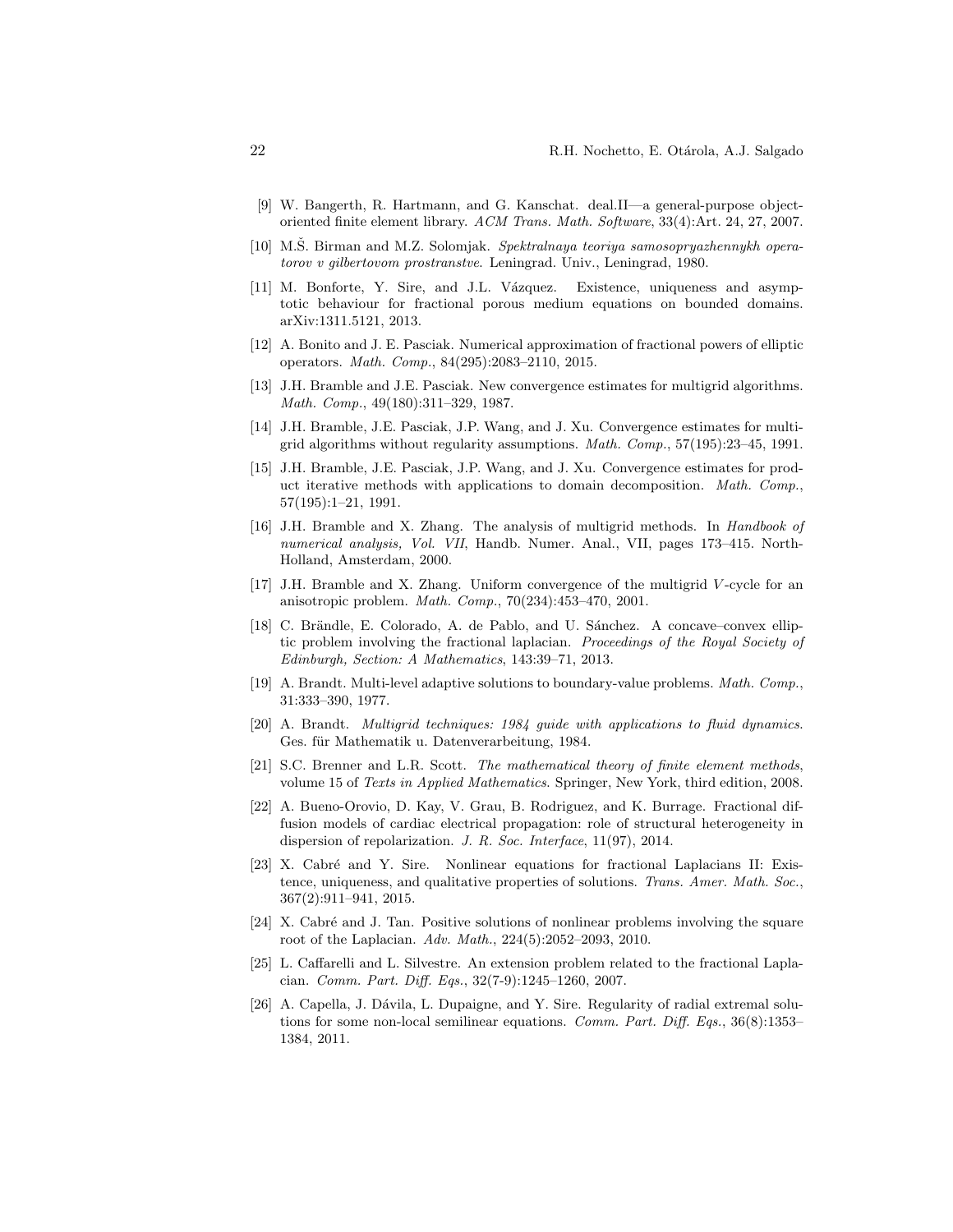- <span id="page-21-9"></span>[9] W. Bangerth, R. Hartmann, and G. Kanschat. deal.II—a general-purpose objectoriented finite element library. ACM Trans. Math. Software, 33(4):Art. 24, 27, 2007.
- <span id="page-21-8"></span>[10] M.S. Birman and M.Z. Solomjak. Spektralnaya teoriya samosopryazhennykh operatorov v gilbertovom prostranstve. Leningrad. Univ., Leningrad, 1980.
- <span id="page-21-7"></span>[11] M. Bonforte, Y. Sire, and J.L. V´azquez. Existence, uniqueness and asymptotic behaviour for fractional porous medium equations on bounded domains. arXiv:1311.5121, 2013.
- <span id="page-21-2"></span>[12] A. Bonito and J. E. Pasciak. Numerical approximation of fractional powers of elliptic operators. Math. Comp., 84(295):2083–2110, 2015.
- <span id="page-21-15"></span>[13] J.H. Bramble and J.E. Pasciak. New convergence estimates for multigrid algorithms. Math. Comp., 49(180):311–329, 1987.
- <span id="page-21-13"></span>[14] J.H. Bramble, J.E. Pasciak, J.P. Wang, and J. Xu. Convergence estimates for multigrid algorithms without regularity assumptions. Math. Comp., 57(195):23–45, 1991.
- <span id="page-21-14"></span>[15] J.H. Bramble, J.E. Pasciak, J.P. Wang, and J. Xu. Convergence estimates for product iterative methods with applications to domain decomposition. Math. Comp., 57(195):1–21, 1991.
- <span id="page-21-16"></span>[16] J.H. Bramble and X. Zhang. The analysis of multigrid methods. In Handbook of numerical analysis, Vol. VII, Handb. Numer. Anal., VII, pages 173–415. North-Holland, Amsterdam, 2000.
- <span id="page-21-17"></span>[17] J.H. Bramble and X. Zhang. Uniform convergence of the multigrid V -cycle for an anisotropic problem. Math. Comp., 70(234):453–470, 2001.
- <span id="page-21-6"></span>[18] C. Brändle, E. Colorado, A. de Pablo, and U. Sánchez. A concave–convex elliptic problem involving the fractional laplacian. Proceedings of the Royal Society of Edinburgh, Section: A Mathematics, 143:39–71, 2013.
- <span id="page-21-11"></span>[19] A. Brandt. Multi-level adaptive solutions to boundary-value problems. Math. Comp., 31:333–390, 1977.
- <span id="page-21-12"></span>[20] A. Brandt. Multigrid techniques: 1984 guide with applications to fluid dynamics. Ges. für Mathematik u. Datenverarbeitung, 1984.
- <span id="page-21-10"></span>[21] S.C. Brenner and L.R. Scott. The mathematical theory of finite element methods, volume 15 of Texts in Applied Mathematics. Springer, New York, third edition, 2008.
- <span id="page-21-0"></span>[22] A. Bueno-Orovio, D. Kay, V. Grau, B. Rodriguez, and K. Burrage. Fractional diffusion models of cardiac electrical propagation: role of structural heterogeneity in dispersion of repolarization. J. R. Soc. Interface, 11(97), 2014.
- <span id="page-21-5"></span>[23] X. Cabré and Y. Sire. Nonlinear equations for fractional Laplacians II: Existence, uniqueness, and qualitative properties of solutions. Trans. Amer. Math. Soc., 367(2):911–941, 2015.
- <span id="page-21-3"></span>[24] X. Cabré and J. Tan. Positive solutions of nonlinear problems involving the square root of the Laplacian. Adv. Math., 224(5):2052–2093, 2010.
- <span id="page-21-1"></span>[25] L. Caffarelli and L. Silvestre. An extension problem related to the fractional Laplacian. Comm. Part. Diff. Eqs., 32(7-9):1245–1260, 2007.
- <span id="page-21-4"></span>[26] A. Capella, J. Dávila, L. Dupaigne, and Y. Sire. Regularity of radial extremal solutions for some non-local semilinear equations. Comm. Part. Diff. Eqs., 36(8):1353– 1384, 2011.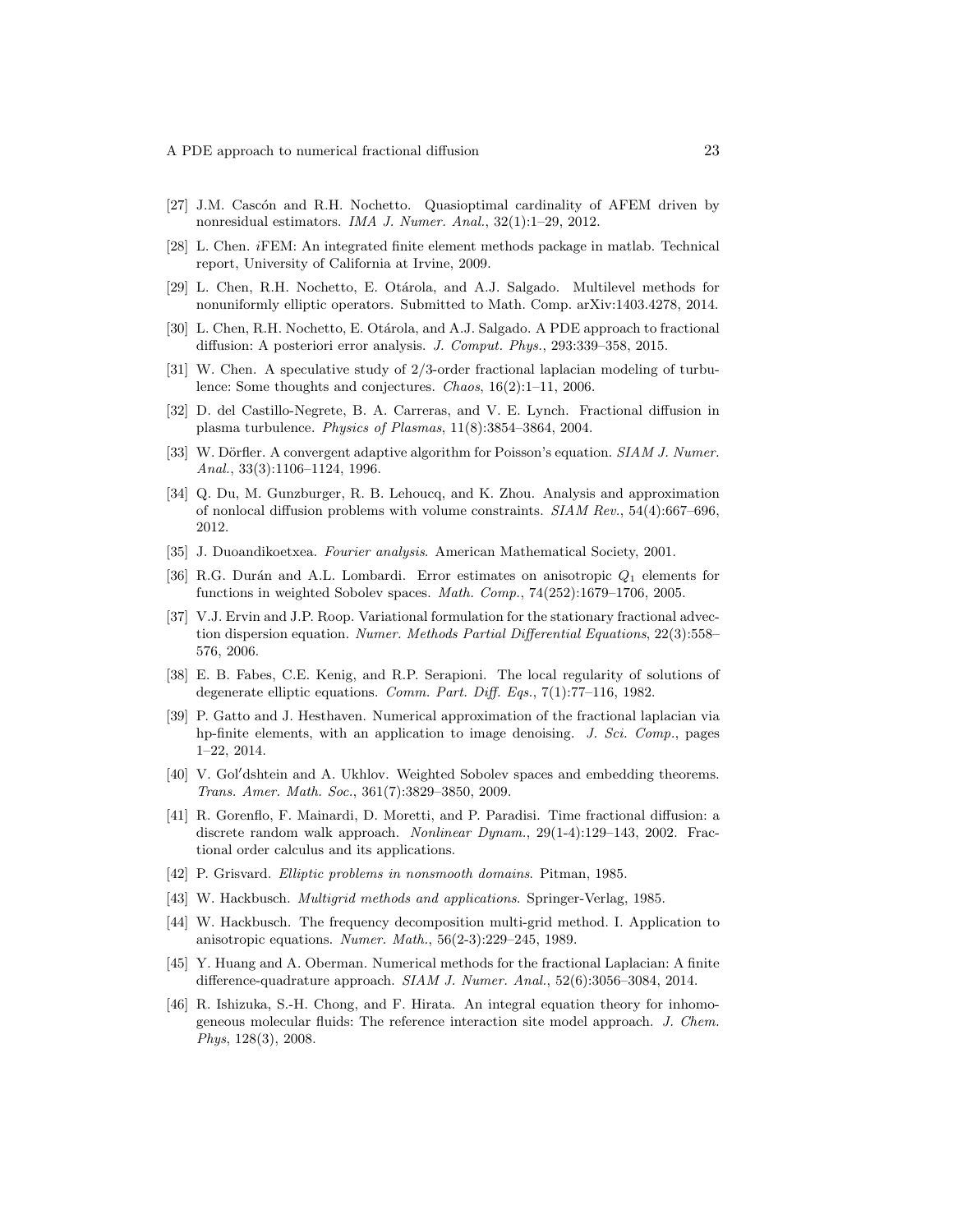- <span id="page-22-12"></span>[27] J.M. Cascón and R.H. Nochetto. Quasioptimal cardinality of AFEM driven by nonresidual estimators. IMA J. Numer. Anal., 32(1):1–29, 2012.
- <span id="page-22-16"></span>[28] L. Chen. iFEM: An integrated finite element methods package in matlab. Technical report, University of California at Irvine, 2009.
- <span id="page-22-5"></span>[29] L. Chen, R.H. Nochetto, E. Otárola, and A.J. Salgado. Multilevel methods for nonuniformly elliptic operators. Submitted to Math. Comp. arXiv:1403.4278, 2014.
- <span id="page-22-4"></span>[30] L. Chen, R.H. Nochetto, E. Otárola, and A.J. Salgado. A PDE approach to fractional diffusion: A posteriori error analysis. J. Comput. Phys., 293:339–358, 2015.
- <span id="page-22-0"></span>[31] W. Chen. A speculative study of 2/3-order fractional laplacian modeling of turbulence: Some thoughts and conjectures. Chaos, 16(2):1–11, 2006.
- <span id="page-22-18"></span>[32] D. del Castillo-Negrete, B. A. Carreras, and V. E. Lynch. Fractional diffusion in plasma turbulence. Physics of Plasmas, 11(8):3854–3864, 2004.
- <span id="page-22-13"></span>[33] W. Dörfler. A convergent adaptive algorithm for Poisson's equation. SIAM J. Numer. Anal., 33(3):1106–1124, 1996.
- <span id="page-22-3"></span>[34] Q. Du, M. Gunzburger, R. B. Lehoucq, and K. Zhou. Analysis and approximation of nonlocal diffusion problems with volume constraints. SIAM Rev., 54(4):667–696, 2012.
- <span id="page-22-7"></span>[35] J. Duoandikoetxea. Fourier analysis. American Mathematical Society, 2001.
- <span id="page-22-11"></span>[36] R.G. Durán and A.L. Lombardi. Error estimates on anisotropic  $Q_1$  elements for functions in weighted Sobolev spaces. *Math. Comp.*,  $74(252):1679-1706$ ,  $2005$ .
- <span id="page-22-19"></span>[37] V.J. Ervin and J.P. Roop. Variational formulation for the stationary fractional advection dispersion equation. Numer. Methods Partial Differential Equations, 22(3):558– 576, 2006.
- <span id="page-22-8"></span>[38] E. B. Fabes, C.E. Kenig, and R.P. Serapioni. The local regularity of solutions of degenerate elliptic equations. Comm. Part. Diff. Eqs., 7(1):77–116, 1982.
- <span id="page-22-1"></span>[39] P. Gatto and J. Hesthaven. Numerical approximation of the fractional laplacian via hp-finite elements, with an application to image denoising. J. Sci. Comp., pages 1–22, 2014.
- <span id="page-22-9"></span>[40] V. Gol'dshtein and A. Ukhlov. Weighted Sobolev spaces and embedding theorems. Trans. Amer. Math. Soc., 361(7):3829–3850, 2009.
- <span id="page-22-17"></span>[41] R. Gorenflo, F. Mainardi, D. Moretti, and P. Paradisi. Time fractional diffusion: a discrete random walk approach. Nonlinear Dynam., 29(1-4):129–143, 2002. Fractional order calculus and its applications.
- <span id="page-22-10"></span>[42] P. Grisvard. Elliptic problems in nonsmooth domains. Pitman, 1985.
- <span id="page-22-14"></span>[43] W. Hackbusch. *Multigrid methods and applications*. Springer-Verlag, 1985.
- <span id="page-22-15"></span>[44] W. Hackbusch. The frequency decomposition multi-grid method. I. Application to anisotropic equations. Numer. Math., 56(2-3):229–245, 1989.
- <span id="page-22-6"></span>[45] Y. Huang and A. Oberman. Numerical methods for the fractional Laplacian: A finite difference-quadrature approach. SIAM J. Numer. Anal., 52(6):3056–3084, 2014.
- <span id="page-22-2"></span>[46] R. Ishizuka, S.-H. Chong, and F. Hirata. An integral equation theory for inhomogeneous molecular fluids: The reference interaction site model approach. J. Chem. Phys, 128(3), 2008.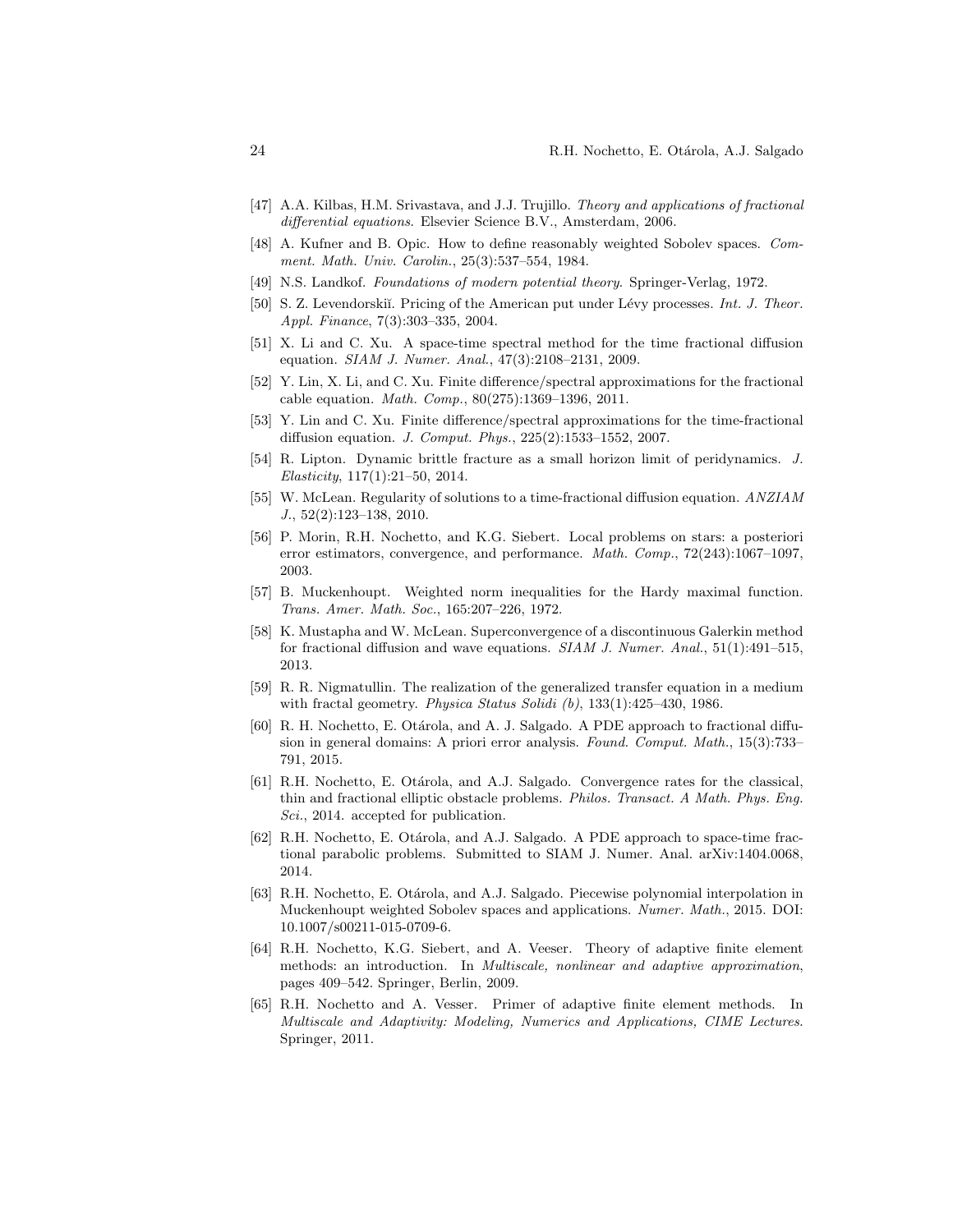- <span id="page-23-13"></span>[47] A.A. Kilbas, H.M. Srivastava, and J.J. Trujillo. Theory and applications of fractional differential equations. Elsevier Science B.V., Amsterdam, 2006.
- <span id="page-23-7"></span>[48] A. Kufner and B. Opic. How to define reasonably weighted Sobolev spaces. Comment. Math. Univ. Carolin., 25(3):537–554, 1984.
- <span id="page-23-5"></span>[49] N.S. Landkof. Foundations of modern potential theory. Springer-Verlag, 1972.
- <span id="page-23-0"></span>[50] S. Z. Levendorskiı̆. Pricing of the American put under Lévy processes. *Int. J. Theor.* Appl. Finance, 7(3):303–335, 2004.
- <span id="page-23-18"></span>[51] X. Li and C. Xu. A space-time spectral method for the time fractional diffusion equation. SIAM J. Numer. Anal., 47(3):2108–2131, 2009.
- <span id="page-23-15"></span>[52] Y. Lin, X. Li, and C. Xu. Finite difference/spectral approximations for the fractional cable equation. Math. Comp., 80(275):1369–1396, 2011.
- <span id="page-23-16"></span>[53] Y. Lin and C. Xu. Finite difference/spectral approximations for the time-fractional diffusion equation. J. Comput. Phys., 225(2):1533–1552, 2007.
- <span id="page-23-1"></span>[54] R. Lipton. Dynamic brittle fracture as a small horizon limit of peridynamics. J. Elasticity, 117(1):21–50, 2014.
- <span id="page-23-17"></span>[55] W. McLean. Regularity of solutions to a time-fractional diffusion equation. ANZIAM J., 52(2):123–138, 2010.
- <span id="page-23-9"></span>[56] P. Morin, R.H. Nochetto, and K.G. Siebert. Local problems on stars: a posteriori error estimators, convergence, and performance. Math. Comp., 72(243):1067–1097, 2003.
- <span id="page-23-6"></span>[57] B. Muckenhoupt. Weighted norm inequalities for the Hardy maximal function. Trans. Amer. Math. Soc., 165:207–226, 1972.
- <span id="page-23-14"></span>[58] K. Mustapha and W. McLean. Superconvergence of a discontinuous Galerkin method for fractional diffusion and wave equations. SIAM J. Numer. Anal., 51(1):491–515, 2013.
- <span id="page-23-12"></span>[59] R. R. Nigmatullin. The realization of the generalized transfer equation in a medium with fractal geometry. Physica Status Solidi (b), 133(1):425-430, 1986.
- <span id="page-23-3"></span>[60] R. H. Nochetto, E. Otárola, and A. J. Salgado. A PDE approach to fractional diffusion in general domains: A priori error analysis. Found. Comput. Math., 15(3):733– 791, 2015.
- <span id="page-23-2"></span>[61] R.H. Nochetto, E. Otárola, and A.J. Salgado. Convergence rates for the classical, thin and fractional elliptic obstacle problems. Philos. Transact. A Math. Phys. Eng. Sci., 2014. accepted for publication.
- <span id="page-23-4"></span>[62] R.H. Nochetto, E. Otárola, and A.J. Salgado. A PDE approach to space-time fractional parabolic problems. Submitted to SIAM J. Numer. Anal. arXiv:1404.0068, 2014.
- <span id="page-23-8"></span>[63] R.H. Nochetto, E. Otárola, and A.J. Salgado. Piecewise polynomial interpolation in Muckenhoupt weighted Sobolev spaces and applications. Numer. Math., 2015. DOI: 10.1007/s00211-015-0709-6.
- <span id="page-23-11"></span>[64] R.H. Nochetto, K.G. Siebert, and A. Veeser. Theory of adaptive finite element methods: an introduction. In Multiscale, nonlinear and adaptive approximation, pages 409–542. Springer, Berlin, 2009.
- <span id="page-23-10"></span>[65] R.H. Nochetto and A. Vesser. Primer of adaptive finite element methods. In Multiscale and Adaptivity: Modeling, Numerics and Applications, CIME Lectures. Springer, 2011.